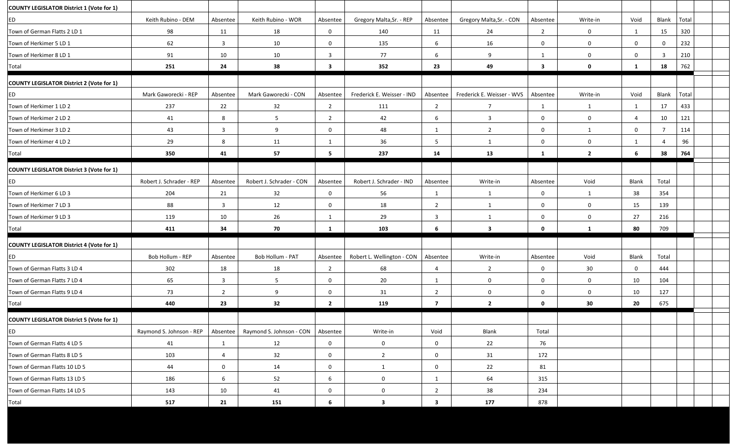| COUNTY LEGISLATOR District 1 (Vote for 1) |                          |                         |                                                |                         |                            |                         |                            |                         |              |              |                |     |  |
|-------------------------------------------|--------------------------|-------------------------|------------------------------------------------|-------------------------|----------------------------|-------------------------|----------------------------|-------------------------|--------------|--------------|----------------|-----|--|
| ED                                        | Keith Rubino - DEM       | Absentee                | Keith Rubino - WOR                             | Absentee                | Gregory Malta, Sr. - REP   | Absentee                | Gregory Malta, Sr. - CON   | Absentee                | Write-in     | Void         | Blank Total    |     |  |
| Town of German Flatts 2 LD 1              | 98                       | 11                      | 18                                             | $\mathbf{0}$            | 140                        | 11                      | 24                         | $\overline{2}$          | 0            | 1            | 15             | 320 |  |
| Town of Herkimer 5 LD 1                   | 62                       | $\overline{\mathbf{3}}$ | 10                                             | $\mathbf{0}$            | 135                        | 6                       | 16                         | $\mathbf{0}$            | $\mathbf 0$  | $\mathbf{0}$ | 0              | 232 |  |
| Town of Herkimer 8 LD 1                   | 91                       | 10                      | 10                                             | 3                       | 77                         | 6                       | 9                          | 1                       | $\mathbf{0}$ | $\mathbf{0}$ | 3              | 210 |  |
| Total                                     | 251                      | 24                      | 38                                             | $\overline{\mathbf{3}}$ | 352                        | 23                      | 49                         | $\overline{\mathbf{3}}$ | $\mathbf 0$  | $\mathbf{1}$ | 18             | 762 |  |
| COUNTY LEGISLATOR District 2 (Vote for 1) |                          |                         |                                                |                         |                            |                         |                            |                         |              |              |                |     |  |
| ED                                        | Mark Gaworecki - REP     | Absentee                | Mark Gaworecki - CON                           | Absentee                | Frederick E. Weisser - IND | Absentee                | Frederick E. Weisser - WVS | Absentee                | Write-in     | Void         | Blank Total    |     |  |
| Town of Herkimer 1 LD 2                   | 237                      | 22                      | 32                                             | $\overline{2}$          | 111                        | $\overline{2}$          | $\overline{7}$             | 1                       | 1            | 1            | 17             | 433 |  |
| Town of Herkimer 2 LD 2                   | 41                       | 8                       | 5                                              | $\overline{2}$          | 42                         | 6                       | 3                          | $\mathbf{0}$            | $\mathbf{0}$ | 4            | 10             | 121 |  |
| Town of Herkimer 3 LD 2                   | 43                       | $\overline{\mathbf{3}}$ | 9                                              | $\mathbf 0$             | 48                         | 1                       | $\overline{2}$             | $\mathbf 0$             | 1            | $\mathbf{0}$ | $\overline{7}$ | 114 |  |
| Town of Herkimer 4 LD 2                   | 29                       | 8                       | 11                                             | 1                       | 36                         | $5\overline{)}$         | 1                          | $\mathbf 0$             | $\mathbf 0$  | 1            | -4             | 96  |  |
| Total                                     | 350                      | 41                      | 57                                             | 5                       | 237                        | 14                      | 13                         | 1                       | $\mathbf{2}$ | 6            | 38             | 764 |  |
| COUNTY LEGISLATOR District 3 (Vote for 1) |                          |                         |                                                |                         |                            |                         |                            |                         |              |              |                |     |  |
| ED                                        | Robert J. Schrader - REP | Absentee                | Robert J. Schrader - CON                       | Absentee                | Robert J. Schrader - IND   | Absentee                | Write-in                   | Absentee                | Void         | Blank        | Total          |     |  |
| Town of Herkimer 6 LD 3                   | 204                      | 21                      | 32                                             | $\mathbf{0}$            | 56                         | 1                       | 1                          | $\mathbf{0}$            | 1            | 38           | 354            |     |  |
| Town of Herkimer 7 LD 3                   | 88                       | $\overline{\mathbf{3}}$ | 12                                             | $\mathbf{0}$            | 18                         | $\overline{2}$          | 1                          | $\mathbf{0}$            | $\mathbf{0}$ | 15           | 139            |     |  |
| Town of Herkimer 9 LD 3                   | 119                      | 10                      | 26                                             | 1                       | 29                         | $\overline{\mathbf{3}}$ | $\mathbf{1}$               | $\mathbf 0$             | $\mathbf 0$  | 27           | 216            |     |  |
| Total                                     | 411                      | 34                      | 70                                             | 1                       | 103                        | 6                       | $\overline{\mathbf{3}}$    | $\mathbf 0$             | $\mathbf{1}$ | 80           | 709            |     |  |
| COUNTY LEGISLATOR District 4 (Vote for 1) |                          |                         |                                                |                         |                            |                         |                            |                         |              |              |                |     |  |
| ED                                        | Bob Hollum - REP         | Absentee                | Bob Hollum - PAT                               | Absentee                | Robert L. Wellington - CON | Absentee                | Write-in                   | Absentee                | Void         | Blank        | Total          |     |  |
| Town of German Flatts 3 LD 4              | 302                      | 18                      | 18                                             | $\overline{2}$          | 68                         | 4                       | $\overline{2}$             | $\mathbf{0}$            | 30           | $\mathbf 0$  | 444            |     |  |
| Town of German Flatts 7 LD 4              | 65                       | $\overline{\mathbf{3}}$ | 5                                              | $\mathbf{0}$            | 20                         | 1                       | $\mathbf 0$                | $\mathbf 0$             | $\mathbf 0$  | 10           | 104            |     |  |
| Town of German Flatts 9 LD 4              | 73                       | $\overline{2}$          | 9                                              | $\mathbf{0}$            | 31                         | $\overline{2}$          | $\mathbf{0}$               | $\mathbf{0}$            | $\mathbf 0$  | 10           | 127            |     |  |
| Total                                     | 440                      | 23                      | 32                                             | $\overline{2}$          | 119                        | $\overline{7}$          | $\overline{2}$             | $\mathbf 0$             | 30           | 20           | 675            |     |  |
| COUNTY LEGISLATOR District 5 (Vote for 1) |                          |                         |                                                |                         |                            |                         |                            |                         |              |              |                |     |  |
| ED                                        | Raymond S. Johnson - REP |                         | Absentee   Raymond S. Johnson - CON   Absentee |                         | Write-in                   | Void                    | Blank                      | Total                   |              |              |                |     |  |
| Town of German Flatts 4 LD 5              | 41                       | 1                       | 12                                             | $\mathbf{0}$            | $\overline{0}$             | $\mathbf{0}$            | 22                         | 76                      |              |              |                |     |  |
| Town of German Flatts 8 LD 5              | 103                      | $\overline{4}$          | 32                                             | $\mathbf{0}$            | $\overline{2}$             | $\mathbf{0}$            | 31                         | 172                     |              |              |                |     |  |
| Town of German Flatts 10 LD 5             | 44                       | $\mathbf{0}$            | 14                                             | $\mathbf 0$             | 1                          | $\mathbf{0}$            | 22                         | 81                      |              |              |                |     |  |
| Town of German Flatts 13 LD 5             | 186                      | 6                       | 52                                             | 6                       | $\mathbf{0}$               | 1                       | 64                         | 315                     |              |              |                |     |  |
| Town of German Flatts 14 LD 5             | 143                      | 10                      | 41                                             | $\mathbf{0}$            | $\mathbf{0}$               | $\overline{2}$          | 38                         | 234                     |              |              |                |     |  |
| Total                                     | 517                      | 21                      | 151                                            | 6                       | $\overline{\mathbf{3}}$    | $\overline{\mathbf{3}}$ | 177                        | 878                     |              |              |                |     |  |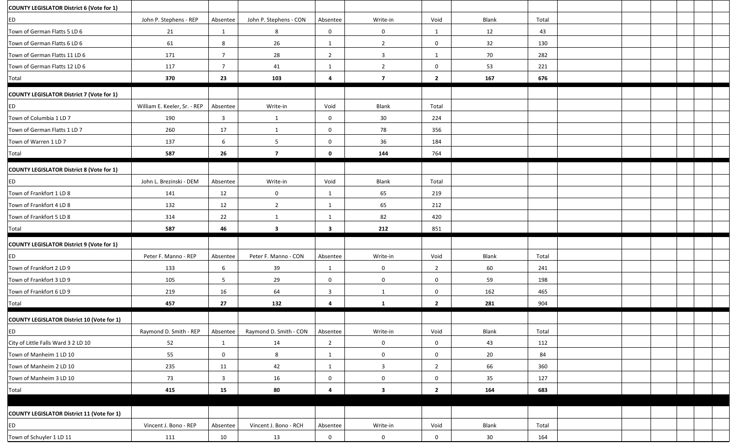| COUNTY LEGISLATOR District 6 (Vote for 1)                                                                                                                                                                                                                                                                                  |                              |                         |                         |                         |                         |                         |       |       |  |  |
|----------------------------------------------------------------------------------------------------------------------------------------------------------------------------------------------------------------------------------------------------------------------------------------------------------------------------|------------------------------|-------------------------|-------------------------|-------------------------|-------------------------|-------------------------|-------|-------|--|--|
| ED                                                                                                                                                                                                                                                                                                                         | John P. Stephens - REP       | Absentee                | John P. Stephens - CON  | Absentee                | Write-in                | Void                    | Blank | Total |  |  |
| Town of German Flatts 5 LD 6                                                                                                                                                                                                                                                                                               | 21                           | 1                       | 8                       | $\mathbf{0}$            | $\mathbf 0$             | 1                       | 12    | 43    |  |  |
| Town of German Flatts 6 LD 6                                                                                                                                                                                                                                                                                               | 61                           | 8                       | 26                      | 1                       | $\overline{2}$          | $\overline{0}$          | 32    | 130   |  |  |
| Town of German Flatts 11 LD 6                                                                                                                                                                                                                                                                                              | 171                          | $\overline{7}$          | 28                      | $\overline{2}$          | $\overline{\mathbf{3}}$ | $\mathbf{1}$            | 70    | 282   |  |  |
| Town of German Flatts 12 LD 6                                                                                                                                                                                                                                                                                              | 117                          | $\overline{7}$          | 41                      | 1                       | $\overline{2}$          | $\overline{0}$          | 53    | 221   |  |  |
| <b>Total</b>                                                                                                                                                                                                                                                                                                               | 370                          | 23                      | 103                     | 4                       | $\overline{7}$          | $\overline{\mathbf{2}}$ | 167   | 676   |  |  |
| COUNTY LEGISLATOR District 7 (Vote for 1)                                                                                                                                                                                                                                                                                  |                              |                         |                         |                         |                         |                         |       |       |  |  |
| ED                                                                                                                                                                                                                                                                                                                         | William E. Keeler, Sr. - REP | Absentee                | Write-in                | Void                    | Blank                   | Total                   |       |       |  |  |
| Town of Columbia 1 LD 7                                                                                                                                                                                                                                                                                                    | 190                          | $\overline{\mathbf{3}}$ | 1                       | $\mathbf 0$             | 30                      | 224                     |       |       |  |  |
| Town of German Flatts 1 LD 7                                                                                                                                                                                                                                                                                               | 260                          | 17                      | 1                       | $\mathbf 0$             | 78                      | 356                     |       |       |  |  |
| Town of Warren 1 LD 7                                                                                                                                                                                                                                                                                                      | 137                          | 6                       | 5                       | $\mathbf{0}$            | 36                      | 184                     |       |       |  |  |
| <b>Total</b>                                                                                                                                                                                                                                                                                                               | 587                          | 26                      | $\overline{7}$          | $\mathbf 0$             | 144                     | 764                     |       |       |  |  |
| COUNTY LEGISLATOR District 8 (Vote for 1)                                                                                                                                                                                                                                                                                  |                              |                         |                         |                         |                         |                         |       |       |  |  |
| ED                                                                                                                                                                                                                                                                                                                         | John L. Brezinski - DEM      | Absentee                | Write-in                | Void                    | Blank                   | Total                   |       |       |  |  |
| Town of Frankfort 1 LD 8                                                                                                                                                                                                                                                                                                   | 141                          | 12                      | $\mathbf 0$             | 1                       | 65                      | 219                     |       |       |  |  |
| Town of Frankfort 4 LD 8                                                                                                                                                                                                                                                                                                   | 132                          | 12                      | $\overline{2}$          | 1                       | 65                      | 212                     |       |       |  |  |
| Town of Frankfort 5 LD 8                                                                                                                                                                                                                                                                                                   | 314                          | 22                      | $\mathbf{1}$            | 1                       | 82                      | 420                     |       |       |  |  |
| <b>Total</b>                                                                                                                                                                                                                                                                                                               | 587                          | 46                      | $\overline{\mathbf{3}}$ | $\overline{\mathbf{3}}$ | 212                     | 851                     |       |       |  |  |
|                                                                                                                                                                                                                                                                                                                            |                              |                         |                         |                         |                         |                         |       |       |  |  |
|                                                                                                                                                                                                                                                                                                                            |                              |                         |                         |                         |                         |                         |       |       |  |  |
|                                                                                                                                                                                                                                                                                                                            | Peter F. Manno - REP         | Absentee                | Peter F. Manno - CON    | Absentee                | Write-in                | Void                    | Blank | Total |  |  |
|                                                                                                                                                                                                                                                                                                                            | 133                          | 6                       | 39                      | 1                       | $\mathbf 0$             | $\overline{2}$          | 60    | 241   |  |  |
|                                                                                                                                                                                                                                                                                                                            | 105                          | $5\overline{)}$         | 29                      | $\mathbf{0}$            | $\mathbf 0$             | $\mathbf{0}$            | 59    | 198   |  |  |
|                                                                                                                                                                                                                                                                                                                            | 219                          | 16                      | 64                      | $\overline{\mathbf{3}}$ | 1                       | $\mathbf{0}$            | 162   | 465   |  |  |
|                                                                                                                                                                                                                                                                                                                            | 457                          | 27                      | 132                     | 4                       | $\mathbf{1}$            | $\overline{2}$          | 281   | 904   |  |  |
|                                                                                                                                                                                                                                                                                                                            |                              |                         |                         |                         |                         |                         |       |       |  |  |
|                                                                                                                                                                                                                                                                                                                            | Raymond D. Smith - REP       | Absentee                | Raymond D. Smith - CON  | Absentee                | Write-in                | Void                    | Blank | Total |  |  |
|                                                                                                                                                                                                                                                                                                                            | 52                           | $\mathbf{1}$            | 14                      | $\overline{2}$          | $\mathbf 0$             | $\mathbf{0}$            | 43    | 112   |  |  |
|                                                                                                                                                                                                                                                                                                                            | 55                           | $\mathbf 0$             | 8                       | $\mathbf{1}$            | $\mathbf{0}$            | $\mathbf{0}$            | 20    | 84    |  |  |
|                                                                                                                                                                                                                                                                                                                            | 235                          | 11                      | 42                      | 1                       | $\overline{\mathbf{3}}$ | $\overline{2}$          | 66    | 360   |  |  |
| COUNTY LEGISLATOR District 9 (Vote for 1)<br>ED<br>Town of Frankfort 2 LD 9<br>Town of Frankfort 3 LD 9<br>Town of Frankfort 6 LD 9<br>Total<br>COUNTY LEGISLATOR District 10 (Vote for 1)<br>IED.<br>City of Little Falls Ward 3 2 LD 10<br>Town of Manheim 1 LD 10<br>Town of Manheim 2 LD 10<br>Town of Manheim 3 LD 10 | 73                           | $\overline{\mathbf{3}}$ | 16                      | $\mathbf{0}$            | $\mathbf 0$             | $\mathbf{0}$            | 35    | 127   |  |  |
| <b>Total</b>                                                                                                                                                                                                                                                                                                               | 415                          | 15                      | 80                      | 4                       | $\overline{\mathbf{3}}$ | $\overline{\mathbf{2}}$ | 164   | 683   |  |  |
|                                                                                                                                                                                                                                                                                                                            |                              |                         |                         |                         |                         |                         |       |       |  |  |
| COUNTY LEGISLATOR District 11 (Vote for 1)                                                                                                                                                                                                                                                                                 |                              |                         |                         |                         |                         |                         |       |       |  |  |
| ED                                                                                                                                                                                                                                                                                                                         | Vincent J. Bono - REP        | Absentee                | Vincent J. Bono - RCH   | Absentee                | Write-in                | Void                    | Blank | Total |  |  |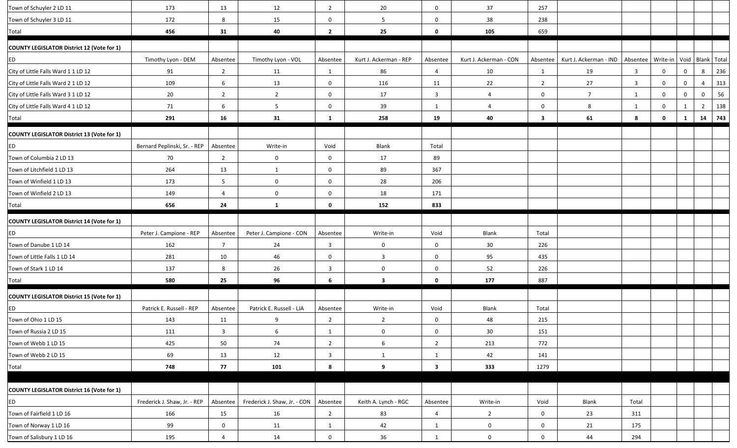| Town of Schuyler 2 LD 11                          | 173                          | 13             | 12                           | $\overline{2}$          | 20                      | $\mathbf 0$             | 37                     | 257            |                        |              |             |                      |                       |
|---------------------------------------------------|------------------------------|----------------|------------------------------|-------------------------|-------------------------|-------------------------|------------------------|----------------|------------------------|--------------|-------------|----------------------|-----------------------|
| Town of Schuyler 3 LD 11                          | 172                          | 8              | 15                           | $\mathbf{0}$            | -5                      | $\mathbf 0$             | 38                     | 238            |                        |              |             |                      |                       |
| Total                                             | 456                          | 31             | 40                           | $\overline{2}$          | 25                      | $\mathbf 0$             | 105                    | 659            |                        |              |             |                      |                       |
| <b>COUNTY LEGISLATOR District 12 (Vote for 1)</b> |                              |                |                              |                         |                         |                         |                        |                |                        |              |             |                      |                       |
| ED                                                | Timothy Lyon - DEM           | Absentee       | Timothy Lyon - VOL           | Absentee                | Kurt J. Ackerman - REP  | Absentee                | Kurt J. Ackerman - CON | Absentee       | Kurt J. Ackerman - IND | Absentee     | Write-in    | Void   Blank   Total |                       |
| City of Little Falls Ward 1 1 LD 12               | 91                           | $\overline{2}$ | 11                           | 1                       | 86                      | $\overline{4}$          | 10                     | 1              | 19                     | 3            | $\mathbf 0$ | $\mathbf 0$          | 236<br>8              |
| City of Little Falls Ward 2 1 LD 12               | 109                          | 6              | 13                           | $\overline{0}$          | 116                     | 11                      | 22                     | $\overline{2}$ | 27                     | $\mathbf{3}$ | $\mathbf 0$ | $\overline{0}$       | 313<br>$\overline{4}$ |
| City of Little Falls Ward 3 1 LD 12               | 20                           | $\overline{2}$ | $\overline{2}$               | $\mathbf{0}$            | 17                      | $\overline{\mathbf{3}}$ | $\overline{4}$         | $\mathbf 0$    | $7\overline{ }$        | 1            | $\mathbf 0$ | $\mathbf{0}$         | 56<br>$\mathbf{0}$    |
| City of Little Falls Ward 4 1 LD 12               | 71                           | 6              | 5                            | $\mathbf{0}$            | 39                      | 1                       | $\overline{4}$         | $\mathbf 0$    | 8                      | 1            | $\mathbf 0$ | 1                    | 138<br>$\overline{2}$ |
| Total                                             | 291                          | 16             | 31                           | $\mathbf{1}$            | 258                     | 19                      | 40                     | $\mathbf{3}$   | 61                     | 8            | $\mathbf 0$ | $\mathbf{1}$         | 743<br>14             |
| <b>COUNTY LEGISLATOR District 13 (Vote for 1)</b> |                              |                |                              |                         |                         |                         |                        |                |                        |              |             |                      |                       |
| ED                                                | Bernard Peplinski, Sr. - REP | Absentee       | Write-in                     | Void                    | Blank                   | Total                   |                        |                |                        |              |             |                      |                       |
| Town of Columbia 2 LD 13                          | 70                           | $\overline{2}$ | $\mathbf 0$                  | $\mathbf{0}$            | 17                      | 89                      |                        |                |                        |              |             |                      |                       |
| Town of Litchfield 1 LD 13                        | 264                          | 13             | $\mathbf{1}$                 | $\mathbf{0}$            | 89                      | 367                     |                        |                |                        |              |             |                      |                       |
| Town of Winfield 1 LD 13                          | 173                          | 5              | $\mathbf 0$                  | $\mathbf 0$             | 28                      | 206                     |                        |                |                        |              |             |                      |                       |
| Town of Winfield 2 LD 13                          | 149                          | $\overline{4}$ | $\mathbf 0$                  | $\mathbf{0}$            | 18                      | 171                     |                        |                |                        |              |             |                      |                       |
| Total                                             | 656                          | 24             | $\mathbf{1}$                 | $\mathbf 0$             | 152                     | 833                     |                        |                |                        |              |             |                      |                       |
| <b>COUNTY LEGISLATOR District 14 (Vote for 1)</b> |                              |                |                              |                         |                         |                         |                        |                |                        |              |             |                      |                       |
| ED                                                | Peter J. Campione - REP      | Absentee       | Peter J. Campione - CON      | Absentee                | Write-in                | Void                    | Blank                  | Total          |                        |              |             |                      |                       |
| Town of Danube 1 LD 14                            | 162                          | $\overline{7}$ | 24                           | $\overline{\mathbf{3}}$ | $\mathbf 0$             | $\mathbf 0$             | 30                     | 226            |                        |              |             |                      |                       |
| Town of Little Falls 1 LD 14                      | 281                          | 10             | 46                           | $\mathbf 0$             | $\overline{\mathbf{3}}$ | $\mathbf 0$             | 95                     | 435            |                        |              |             |                      |                       |
| Town of Stark 1 LD 14                             | 137                          | 8              | 26                           | $\overline{3}$          | $\mathbf 0$             | $\mathbf 0$             | 52                     | 226            |                        |              |             |                      |                       |
| Total                                             | 580                          | 25             | 96                           | 6                       | $\overline{\mathbf{3}}$ | $\mathbf 0$             | 177                    | 887            |                        |              |             |                      |                       |
| <b>COUNTY LEGISLATOR District 15 (Vote for 1)</b> |                              |                |                              |                         |                         |                         |                        |                |                        |              |             |                      |                       |
| ED                                                | Patrick E. Russell - REP     | Absentee       | Patrick E. Russell - LJA     | Absentee                | Write-in                | Void                    | Blank                  | Total          |                        |              |             |                      |                       |
| Town of Ohio 1 LD 15                              | 143                          | 11             | 9                            | $\overline{2}$          | $\overline{2}$          | $\mathbf 0$             | 48                     | 215            |                        |              |             |                      |                       |
| Town of Russia 2 LD 15                            | 111                          | $\overline{3}$ | 6                            | 1                       | $\mathbf{0}$            | $\bf{0}$                | 30                     | 151            |                        |              |             |                      |                       |
| Town of Webb 1 LD 15                              | 425                          | 50             | 74                           | $\overline{2}$          | 6                       | $\overline{2}$          | 213                    | 772            |                        |              |             |                      |                       |
| Town of Webb 2 LD 15                              | 69                           | 13             | 12                           | $\overline{3}$          | 1                       | 1                       | 42                     | 141            |                        |              |             |                      |                       |
| Total                                             | 748                          | 77             | 101                          | 8                       | 9                       | $\overline{\mathbf{3}}$ | 333                    | 1279           |                        |              |             |                      |                       |
|                                                   |                              |                |                              |                         |                         |                         |                        |                |                        |              |             |                      |                       |
| <b>COUNTY LEGISLATOR District 16 (Vote for 1)</b> |                              |                |                              |                         |                         |                         |                        |                |                        |              |             |                      |                       |
| ED                                                | Frederick J. Shaw, Jr. - REP | Absentee       | Frederick J. Shaw, Jr. - CON | Absentee                | Keith A. Lynch - RGC    | Absentee                | Write-in               | Void           | Blank                  | Total        |             |                      |                       |
| Town of Fairfield 1 LD 16                         | 166                          | 15             | 16                           | $\overline{2}$          | 83                      | 4                       | $\overline{2}$         | $\mathbf{0}$   | 23                     | 311          |             |                      |                       |
| Town of Norway 1 LD 16                            | 99                           | $\mathbf{0}$   | 11                           | 1                       | 42                      | 1                       | $\mathbf 0$            | $\overline{0}$ | 21                     | 175          |             |                      |                       |
| Town of Salisbury 1 LD 16                         | 195                          | $\overline{4}$ | 14                           | $\mathbf 0$             | 36                      | $\mathbf{1}$            | $\mathbf 0$            | $\mathbf 0$    | 44                     | 294          |             |                      |                       |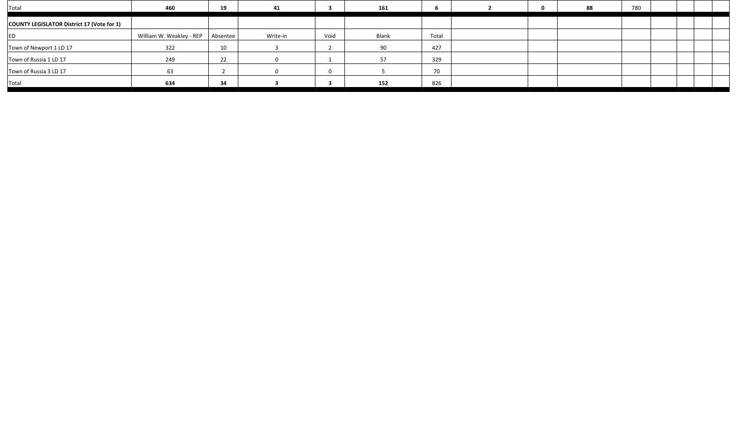| Total                                             | 460                      | 19       | 41       |      | 161   |       | -C | 88 | 780 |  |
|---------------------------------------------------|--------------------------|----------|----------|------|-------|-------|----|----|-----|--|
| <b>COUNTY LEGISLATOR District 17 (Vote for 1)</b> |                          |          |          |      |       |       |    |    |     |  |
| ED                                                | William W. Weakley - REP | Absentee | Write-in | Void | Blank | Total |    |    |     |  |
| Town of Newport 1 LD 17                           | 322                      | 10       |          |      | 90    | 427   |    |    |     |  |
| Town of Russia 1 LD 17                            | 249                      | 22       |          |      | 57    | 329   |    |    |     |  |
| Town of Russia 3 LD 17                            | 63                       |          |          |      |       | 70    |    |    |     |  |
| Total                                             | 634                      | 34       |          |      | 152   | 826   |    |    |     |  |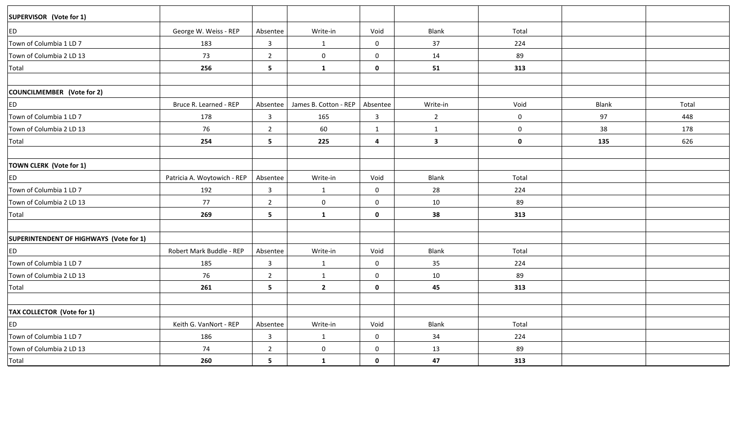| SUPERVISOR (Vote for 1)                 |                               |                            |                                             |                         |                |              |       |       |
|-----------------------------------------|-------------------------------|----------------------------|---------------------------------------------|-------------------------|----------------|--------------|-------|-------|
| ED                                      | George W. Weiss - REP         | Absentee                   | Write-in                                    | Void                    | Blank          | Total        |       |       |
| Town of Columbia 1 LD 7                 | 183                           | $\mathbf{3}$               | 1                                           | $\mathbf 0$             | 37             | 224          |       |       |
| Town of Columbia 2 LD 13                | 73                            | $\overline{2}$             | $\mathbf 0$                                 | $\mathbf 0$             | 14             | 89           |       |       |
| Total                                   | 256                           | 5                          | $\mathbf{1}$                                | $\mathbf 0$             | 51             | 313          |       |       |
|                                         |                               |                            |                                             |                         |                |              |       |       |
| COUNCILMEMBER (Vote for 2)              |                               |                            |                                             |                         |                |              |       |       |
| ED                                      | Bruce R. Learned - REP        |                            | Absentee   James B. Cotton - REP   Absentee |                         | Write-in       | Void         | Blank | Total |
| Town of Columbia 1 LD 7                 | 178                           | $\mathbf{3}$               | 165                                         | $\mathbf{3}$            | $\overline{2}$ | 0            | 97    | 448   |
| Town of Columbia 2 LD 13                | 76                            | $\overline{2}$             | 60                                          | $\mathbf{1}$            | $\mathbf{1}$   | 0            | 38    | 178   |
| Total                                   | 254                           | $5\phantom{.0}$            | 225                                         | $\overline{\mathbf{4}}$ | $\mathbf{3}$   | 0            | 135   | 626   |
| TOWN CLERK (Vote for 1)                 |                               |                            |                                             |                         |                |              |       |       |
| ED                                      | Patricia A. Woytowich - REP   | Absentee                   | Write-in                                    | Void                    | Blank          | Total        |       |       |
| Town of Columbia 1 LD 7                 | 192                           | $\mathbf{3}$               | $\mathbf{1}$                                | $\overline{0}$          | 28             | 224          |       |       |
| Town of Columbia 2 LD 13                | 77                            | $\overline{2}$             | $\mathbf 0$                                 | $\mathbf 0$             | 10             | 89           |       |       |
| Total                                   | 269                           | 5                          | $\mathbf{1}$                                | $\mathbf 0$             | 38             | 313          |       |       |
| SUPERINTENDENT OF HIGHWAYS (Vote for 1) |                               |                            |                                             |                         |                |              |       |       |
| ED                                      | Robert Mark Buddle - REP      | Absentee                   | Write-in                                    | Void                    | Blank          | Total        |       |       |
| Town of Columbia 1 LD 7                 | 185                           | $\mathbf{3}$               | 1                                           | $\mathbf 0$             | 35             | 224          |       |       |
| Town of Columbia 2 LD 13                | 76                            | $\overline{2}$             | 1                                           | $\mathbf 0$             | 10             | 89           |       |       |
| Total                                   | 261                           | 5                          | $\overline{2}$                              | $\mathbf 0$             | 45             | 313          |       |       |
| TAX COLLECTOR (Vote for 1)              |                               |                            |                                             |                         |                |              |       |       |
|                                         |                               |                            |                                             |                         |                |              |       |       |
| ED<br>Town of Columbia 1 LD 7           | Keith G. VanNort - REP<br>186 | Absentee<br>$\overline{3}$ | Write-in<br>$\mathbf{1}$                    | Void<br>$\mathbf 0$     | Blank<br>34    | Total<br>224 |       |       |
| Town of Columbia 2 LD 13                | 74                            | $\overline{2}$             | $\mathbf 0$                                 | $\mathbf 0$             | 13             | 89           |       |       |
| Total                                   | 260                           | $5\phantom{a}$             | <b>1</b>                                    | $\mathbf 0$             | 47             | 313          |       |       |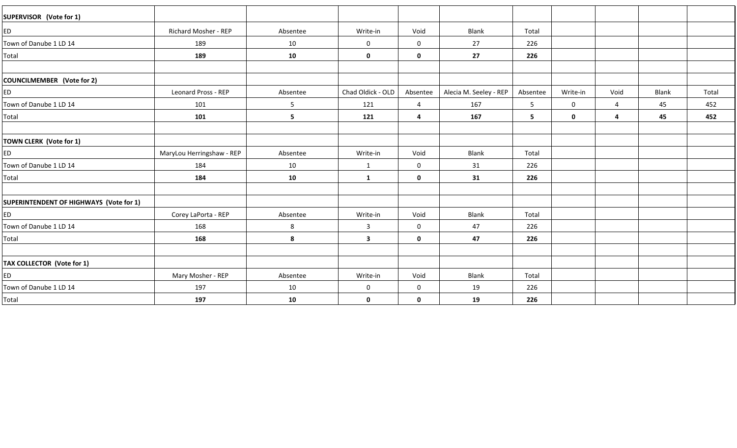| SUPERVISOR (Vote for 1)                 |                             |          |                   |                |                        |          |             |                |       |       |
|-----------------------------------------|-----------------------------|----------|-------------------|----------------|------------------------|----------|-------------|----------------|-------|-------|
| ED                                      | <b>Richard Mosher - REP</b> | Absentee | Write-in          | Void           | Blank                  | Total    |             |                |       |       |
| Town of Danube 1 LD 14                  | 189                         | 10       | $\mathbf 0$       | $\mathbf 0$    | 27                     | 226      |             |                |       |       |
| Total                                   | 189                         | 10       | $\mathbf 0$       | $\mathbf 0$    | 27                     | 226      |             |                |       |       |
| COUNCILMEMBER (Vote for 2)              |                             |          |                   |                |                        |          |             |                |       |       |
| ED                                      | Leonard Pross - REP         | Absentee | Chad Oldick - OLD | Absentee       | Alecia M. Seeley - REP | Absentee | Write-in    | Void           | Blank | Total |
| Town of Danube 1 LD 14                  | 101                         | 5        | 121               | $\overline{a}$ | 167                    | 5        | $\mathbf 0$ | $\overline{a}$ | 45    | 452   |
| Total                                   | 101                         | 5        | 121               | 4              | 167                    | 5        | $\mathbf 0$ | $\overline{a}$ | 45    | 452   |
|                                         |                             |          |                   |                |                        |          |             |                |       |       |
| TOWN CLERK (Vote for 1)                 |                             |          |                   |                |                        |          |             |                |       |       |
| <b>ED</b>                               | MaryLou Herringshaw - REP   | Absentee | Write-in          | Void           | Blank                  | Total    |             |                |       |       |
| Town of Danube 1 LD 14                  | 184                         | 10       | $\mathbf{1}$      | $\mathbf 0$    | 31                     | 226      |             |                |       |       |
| Total                                   | 184                         | 10       | $\mathbf{1}$      | $\mathbf 0$    | 31                     | 226      |             |                |       |       |
| SUPERINTENDENT OF HIGHWAYS (Vote for 1) |                             |          |                   |                |                        |          |             |                |       |       |
| ED                                      | Corey LaPorta - REP         | Absentee | Write-in          | Void           | Blank                  | Total    |             |                |       |       |
| Town of Danube 1 LD 14                  | 168                         | 8        | 3                 | $\mathbf 0$    | 47                     | 226      |             |                |       |       |
| Total                                   | 168                         | 8        | $\mathbf{3}$      | $\mathbf 0$    | 47                     | 226      |             |                |       |       |
|                                         |                             |          |                   |                |                        |          |             |                |       |       |
| TAX COLLECTOR (Vote for 1)              |                             |          |                   |                |                        |          |             |                |       |       |
| ED                                      | Mary Mosher - REP           | Absentee | Write-in          | Void           | Blank                  | Total    |             |                |       |       |
| Town of Danube 1 LD 14                  | 197                         | 10       | $\mathbf 0$       | $\mathbf 0$    | 19                     | 226      |             |                |       |       |
| Total                                   | 197                         | 10       | $\mathbf 0$       | $\mathbf 0$    | 19                     | 226      |             |                |       |       |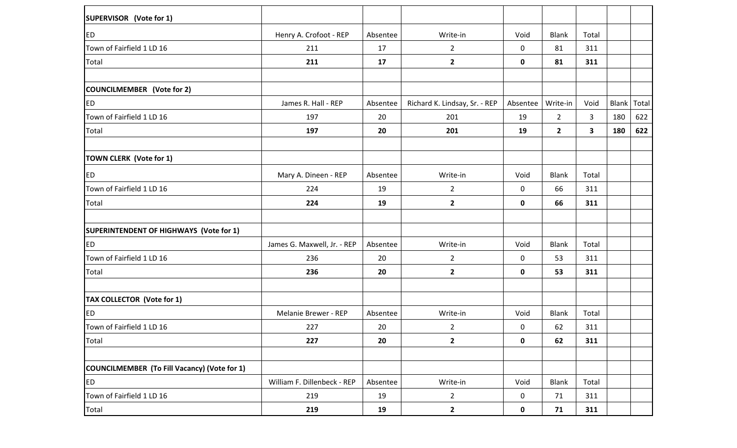| SUPERVISOR (Vote for 1)                      |                             |          |                               |             |                |       |              |       |
|----------------------------------------------|-----------------------------|----------|-------------------------------|-------------|----------------|-------|--------------|-------|
| <b>ED</b>                                    | Henry A. Crofoot - REP      | Absentee | Write-in                      | Void        | <b>Blank</b>   | Total |              |       |
| Town of Fairfield 1 LD 16                    | 211                         | 17       | $\overline{2}$                | 0           | 81             | 311   |              |       |
| Total                                        | 211                         | 17       | $\overline{2}$                | 0           | 81             | 311   |              |       |
|                                              |                             |          |                               |             |                |       |              |       |
| <b>COUNCILMEMBER</b> (Vote for 2)            |                             |          |                               |             |                |       |              |       |
| <b>ED</b>                                    | James R. Hall - REP         | Absentee | Richard K. Lindsay, Sr. - REP | Absentee    | Write-in       | Void  | <b>Blank</b> | Total |
| Town of Fairfield 1 LD 16                    | 197                         | 20       | 201                           | 19          | $\overline{2}$ | 3     | 180          | 622   |
| Total                                        | 197                         | 20       | 201                           | 19          | $\overline{2}$ | 3     | 180          | 622   |
| <b>TOWN CLERK (Vote for 1)</b>               |                             |          |                               |             |                |       |              |       |
| ED                                           | Mary A. Dineen - REP        | Absentee | Write-in                      | Void        | <b>Blank</b>   | Total |              |       |
| Town of Fairfield 1 LD 16                    | 224                         | 19       | $\overline{2}$                | 0           | 66             | 311   |              |       |
| Total                                        | 224                         | 19       | $\overline{2}$                | 0           | 66             | 311   |              |       |
| SUPERINTENDENT OF HIGHWAYS (Vote for 1)      |                             |          |                               |             |                |       |              |       |
| <b>ED</b>                                    | James G. Maxwell, Jr. - REP | Absentee | Write-in                      | Void        | <b>Blank</b>   | Total |              |       |
| Town of Fairfield 1 LD 16                    | 236                         | 20       | $\overline{2}$                | $\mathbf 0$ | 53             | 311   |              |       |
| Total                                        | 236                         | 20       | $\overline{\mathbf{2}}$       | 0           | 53             | 311   |              |       |
| TAX COLLECTOR (Vote for 1)                   |                             |          |                               |             |                |       |              |       |
| <b>ED</b>                                    | Melanie Brewer - REP        | Absentee | Write-in                      | Void        | <b>Blank</b>   | Total |              |       |
| Town of Fairfield 1 LD 16                    | 227                         | 20       | $\overline{2}$                | 0           | 62             | 311   |              |       |
| Total                                        | 227                         | 20       | $\overline{2}$                | $\pmb{0}$   | 62             | 311   |              |       |
| COUNCILMEMBER (To Fill Vacancy) (Vote for 1) |                             |          |                               |             |                |       |              |       |
| <b>ED</b>                                    | William F. Dillenbeck - REP | Absentee | Write-in                      | Void        | <b>Blank</b>   | Total |              |       |
| Town of Fairfield 1 LD 16                    | 219                         | 19       | $\overline{2}$                | 0           | 71             | 311   |              |       |
| Total                                        | 219                         | 19       | $\mathbf{2}$                  | 0           | 71             | 311   |              |       |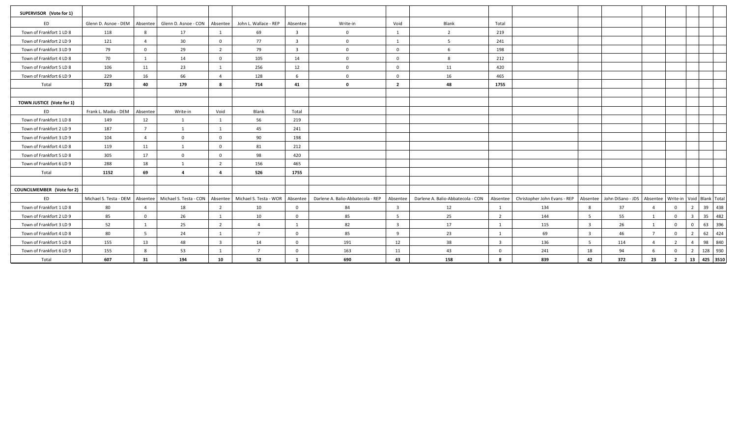| SUPERVISOR (Vote for 1)           |                                 |                |                        |                         |                                   |                         |                                   |                         |                                   |                         |                                                                                                          |                         |     |                |                                  |             |
|-----------------------------------|---------------------------------|----------------|------------------------|-------------------------|-----------------------------------|-------------------------|-----------------------------------|-------------------------|-----------------------------------|-------------------------|----------------------------------------------------------------------------------------------------------|-------------------------|-----|----------------|----------------------------------|-------------|
| ED                                | Glenn D. Asnoe - DEM            | Absentee       | Glenn D. Asnoe - CON   | Absentee                | John L. Wallace - REP             | Absentee                | Write-in                          | Void                    | Blank                             | Total                   |                                                                                                          |                         |     |                |                                  |             |
| Town of Frankfort 1 LD 8          | 118                             | 8              | 17                     | 1                       | 69                                | $\overline{\mathbf{3}}$ | $\mathbf 0$                       | 1                       | $\overline{2}$                    | 219                     |                                                                                                          |                         |     |                |                                  |             |
| Town of Frankfort 2 LD 9          | 121                             | $\overline{4}$ | 30                     | $\mathbf 0$             | 77                                | $\overline{\mathbf{3}}$ | $\mathbf{0}$                      | 1                       | 5                                 | 241                     |                                                                                                          |                         |     |                |                                  |             |
| Town of Frankfort 3 LD 9          | 79                              | $\overline{0}$ | 29                     | $\overline{2}$          | 79                                | $\overline{\mathbf{3}}$ | $\mathbf 0$                       | $\mathbf{0}$            | 6                                 | 198                     |                                                                                                          |                         |     |                |                                  |             |
| Town of Frankfort 4 LD 8          | 70                              | $\mathbf{1}$   | 14                     | $\mathbf 0$             | 105                               | 14                      | $\mathbf 0$                       | $\mathbf 0$             | 8                                 | 212                     |                                                                                                          |                         |     |                |                                  |             |
| Town of Frankfort 5 LD 8          | 106                             | 11             | 23                     | 1                       | 256                               | 12                      | $\mathbf{0}$                      | $\mathbf 0$             | 11                                | 420                     |                                                                                                          |                         |     |                |                                  |             |
| Town of Frankfort 6 LD 9          | 229                             | 16             | 66                     | $\overline{4}$          | 128                               | 6                       | $\mathbf{0}$                      | $\mathbf 0$             | 16                                | 465                     |                                                                                                          |                         |     |                |                                  |             |
| Total                             | 723                             | 40             | 179                    | 8                       | 714                               | 41                      | $\mathbf 0$                       | $\overline{2}$          | 48                                | 1755                    |                                                                                                          |                         |     |                |                                  |             |
|                                   |                                 |                |                        |                         |                                   |                         |                                   |                         |                                   |                         |                                                                                                          |                         |     |                |                                  |             |
| TOWN JUSTICE (Vote for 1)         |                                 |                |                        |                         |                                   |                         |                                   |                         |                                   |                         |                                                                                                          |                         |     |                |                                  |             |
| ED                                | Frank L. Madia - DEM            | Absentee       | Write-in               | Void                    | Blank                             | Total                   |                                   |                         |                                   |                         |                                                                                                          |                         |     |                |                                  |             |
| Town of Frankfort 1 LD 8          | 149                             | 12             | 1                      | 1                       | 56                                | 219                     |                                   |                         |                                   |                         |                                                                                                          |                         |     |                |                                  |             |
| Town of Frankfort 2 LD 9          | 187                             | $\overline{7}$ | 1                      | $\overline{1}$          | 45                                | 241                     |                                   |                         |                                   |                         |                                                                                                          |                         |     |                |                                  |             |
| Town of Frankfort 3 LD 9          | 104                             | $\overline{4}$ | $\mathbf 0$            | $\mathbf{0}$            | 90                                | 198                     |                                   |                         |                                   |                         |                                                                                                          |                         |     |                |                                  |             |
| Town of Frankfort 4 LD 8          | 119                             | 11             | $\mathbf{1}$           | $\mathbf 0$             | 81                                | 212                     |                                   |                         |                                   |                         |                                                                                                          |                         |     |                |                                  |             |
| Town of Frankfort 5 LD 8          | 305                             | 17             | $\mathbf{0}$           | $\overline{0}$          | 98                                | 420                     |                                   |                         |                                   |                         |                                                                                                          |                         |     |                |                                  |             |
| Town of Frankfort 6 LD 9          | 288                             | 18             | 1                      | $\overline{2}$          | 156                               | 465                     |                                   |                         |                                   |                         |                                                                                                          |                         |     |                |                                  |             |
| Total                             | 1152                            | 69             | $\overline{4}$         | $\overline{4}$          | 526                               | 1755                    |                                   |                         |                                   |                         |                                                                                                          |                         |     |                |                                  |             |
|                                   |                                 |                |                        |                         |                                   |                         |                                   |                         |                                   |                         |                                                                                                          |                         |     |                |                                  |             |
| <b>COUNCILMEMBER</b> (Vote for 2) |                                 |                |                        |                         |                                   |                         |                                   |                         |                                   |                         |                                                                                                          |                         |     |                |                                  |             |
| ED                                | Michael S. Testa - DEM Absentee |                | Michael S. Testa - CON | Absentee                | Michael S. Testa - WOR   Absentee |                         | Darlene A. Balio-Abbatecola - REP | Absentee                | Darlene A. Balio-Abbatecola - CON | Absentee                | Christopher John Evans - REP   Absentee   John DiSano - JDS   Absentee   Write-in   Void   Blank   Total |                         |     |                |                                  |             |
| Town of Frankfort 1 LD 8          | 80                              | $\overline{4}$ | 18                     | $\overline{2}$          | 10                                | $\overline{0}$          | 84                                | $\overline{\mathbf{3}}$ | 12                                | 1                       | 134                                                                                                      | 8                       | 37  | $\overline{4}$ | $\overline{2}$<br>$\mathbf 0$    | 39 438      |
| Town of Frankfort 2 LD 9          | 85                              | $\mathbf{0}$   | 26                     | 1                       | 10                                | $\mathbf{0}$            | 85                                | 5 <sup>5</sup>          | 25                                | $\overline{2}$          | 144                                                                                                      | 5                       | 55  | 1              | $\overline{3}$<br>$\mathbf{0}$   | 35 482      |
| Town of Frankfort 3 LD 9          | 52                              | 1              | 25                     | $\overline{2}$          | $\overline{4}$                    | $\overline{1}$          | 82                                | $\overline{\mathbf{3}}$ | 17                                | $\mathbf{1}$            | 115                                                                                                      | $\overline{\mathbf{3}}$ | 26  | 1              | $\mathbf{0}$<br>$\mathbf{0}$     | 63 396      |
| Town of Frankfort 4 LD 8          | 80                              | 5              | 24                     | 1                       | $\overline{7}$                    | $\overline{0}$          | 85                                | 9                       | 23                                | $\overline{1}$          | 69                                                                                                       | $\overline{\mathbf{3}}$ | 46  | $\overline{7}$ | 2<br>$\mathbf{0}$                | 62 424      |
| Town of Frankfort 5 LD 8          | 155                             | 13             | 48                     | $\overline{\mathbf{3}}$ | 14                                | $\mathbf{0}$            | 191                               | 12                      | 38                                | $\overline{\mathbf{3}}$ | 136                                                                                                      | 5 <sup>5</sup>          | 114 | $\overline{4}$ | $\overline{2}$<br>$\overline{4}$ | 98<br>840   |
| Town of Frankfort 6 LD 9          | 155                             | 8              | 53                     | 1                       | $\overline{7}$                    | $\mathbf{0}$            | 163                               | 11                      | 43                                | $\mathbf 0$             | 241                                                                                                      | 18                      | 94  | -6             | $\overline{2}$<br>$\mathbf{0}$   | 128 930     |
| Total                             | 607                             | 31             | 194                    | 10                      | 52                                | 1                       | 690                               | 43                      | 158                               | 8                       | 839                                                                                                      | 42                      | 372 | 23             | $\overline{2}$                   | 13 425 3510 |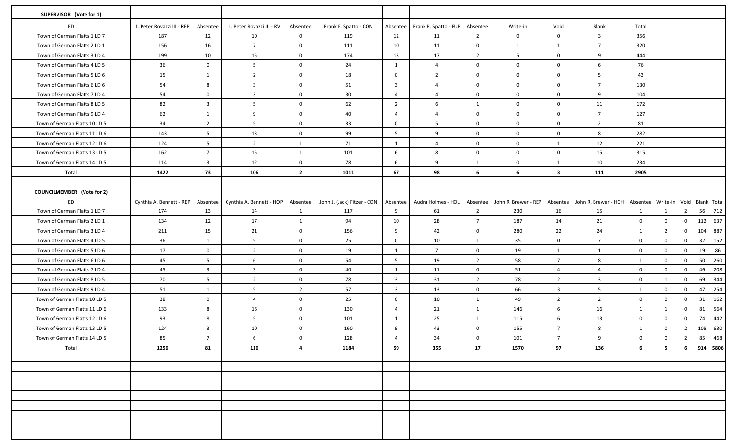| SUPERVISOR (Vote for 1)           |                            |                |                           |                |                             |                         |                                  |                |                                 |                         |                                 |                |                |                |                                                  |
|-----------------------------------|----------------------------|----------------|---------------------------|----------------|-----------------------------|-------------------------|----------------------------------|----------------|---------------------------------|-------------------------|---------------------------------|----------------|----------------|----------------|--------------------------------------------------|
| ED                                | L. Peter Rovazzi III - REP | Absentee       | L. Peter Rovazzi III - RV | Absentee       | Frank P. Spatto - CON       |                         | Absentee   Frank P. Spatto - FUP | Absentee       | Write-in                        | Void                    | Blank                           | Total          |                |                |                                                  |
| Town of German Flatts 1 LD 7      | 187                        | 12             | 10                        | $\overline{0}$ | 119                         | 12                      | 11                               | $\overline{2}$ | $\mathbf 0$                     | $\overline{0}$          | $\overline{3}$                  | 356            |                |                |                                                  |
| Town of German Flatts 2 LD 1      | 156                        | 16             | $\overline{7}$            | $\mathbf 0$    | 111                         | 10                      | 11                               | 0              | 1                               | 1                       | $\overline{7}$                  | 320            |                |                |                                                  |
| Town of German Flatts 3 LD 4      | 199                        | 10             | 15                        | $\mathbf 0$    | 174                         | 13                      | 17                               | $\overline{2}$ | 5 <sup>5</sup>                  | $\mathbf 0$             | 9                               | 444            |                |                |                                                  |
| Town of German Flatts 4 LD 5      | 36                         | $\mathbf 0$    | $5\overline{)}$           | $\mathbf 0$    | 24                          | 1                       | $\overline{4}$                   | $\mathbf 0$    | $\mathbf{0}$                    | $\bf{0}$                | 6                               | 76             |                |                |                                                  |
| Town of German Flatts 5 LD 6      | 15                         | 1              | $\overline{2}$            | $\mathbf 0$    | 18                          | $\mathbf 0$             | $\overline{2}$                   | $\mathbf{0}$   | $\mathbf{0}$                    | $\mathbf 0$             | 5                               | 43             |                |                |                                                  |
| Town of German Flatts 6 LD 6      | 54                         | 8              | $\overline{\mathbf{3}}$   | $\mathbf 0$    | 51                          | $\overline{\mathbf{3}}$ | $\overline{4}$                   | $\mathbf 0$    | $\mathbf{0}$                    | $\overline{0}$          | $\overline{7}$                  | 130            |                |                |                                                  |
| Town of German Flatts 7 LD 4      | 54                         | $\mathbf 0$    | $\overline{3}$            | $\mathbf{0}$   | 30                          | $\overline{4}$          | $\overline{4}$                   | 0              | $\mathbf 0$                     | $\mathbf 0$             | 9                               | 104            |                |                |                                                  |
| Town of German Flatts 8 LD 5      | 82                         | $\overline{3}$ | $5\overline{)}$           | $\mathbf 0$    | 62                          | $\overline{2}$          | 6                                | 1              | $\mathbf 0$                     | $\mathbf 0$             | 11                              | 172            |                |                |                                                  |
| Town of German Flatts 9 LD 4      | 62                         | 1              | 9                         | $\mathbf 0$    | 40                          | $\overline{4}$          | $\overline{4}$                   | $\mathbf 0$    | $\mathbf 0$                     | $\mathbf 0$             | $7\overline{ }$                 | 127            |                |                |                                                  |
| Town of German Flatts 10 LD 5     | 34                         | $\overline{2}$ | $5\overline{)}$           | $\mathbf 0$    | 33                          | $\mathbf 0$             | 5                                | 0              | $\mathbf 0$                     | $\mathbf 0$             | $\overline{2}$                  | 81             |                |                |                                                  |
| Town of German Flatts 11 LD 6     | 143                        | $5^{\circ}$    | 13                        | $\mathbf{0}$   | 99                          | 5                       | 9                                | 0              | $\mathbf{0}$                    | $\overline{0}$          | 8                               | 282            |                |                |                                                  |
| Town of German Flatts 12 LD 6     | 124                        | 5              | $\overline{2}$            | 1              | 71                          | 1                       | $\overline{4}$                   | 0              | $\mathbf 0$                     | $\mathbf{1}$            | 12                              | 221            |                |                |                                                  |
| Town of German Flatts 13 LD 5     | 162                        | $\overline{7}$ | 15                        | $\mathbf{1}$   | 101                         | 6                       | 8                                | 0              | $\mathbf{0}$                    | $\mathbf 0$             | 15                              | 315            |                |                |                                                  |
| Town of German Flatts 14 LD 5     | 114                        | $\overline{3}$ | 12                        | $\mathbf 0$    | 78                          | 6                       | 9                                | 1              | $\mathbf{0}$                    | 1                       | 10                              | 234            |                |                |                                                  |
| Total                             | 1422                       | 73             | 106                       | $\overline{2}$ | 1011                        | 67                      | 98                               | 6              | 6                               | $\overline{\mathbf{3}}$ | 111                             | 2905           |                |                |                                                  |
|                                   |                            |                |                           |                |                             |                         |                                  |                |                                 |                         |                                 |                |                |                |                                                  |
| <b>COUNCILMEMBER</b> (Vote for 2) |                            |                |                           |                |                             |                         |                                  |                |                                 |                         |                                 |                |                |                |                                                  |
| ED                                | Cynthia A. Bennett - REP   | Absentee       | Cynthia A. Bennett - HOP  | Absentee       | John J. (Jack) Fitzer - CON | Absentee                | Audra Holmes - HOL               | Absentee       | John R. Brewer - REP   Absentee |                         | John R. Brewer - HCH   Absentee |                | Write-in Void  |                | Blank   Total                                    |
| Town of German Flatts 1 LD 7      | 174                        | 13             | 14                        | $\overline{1}$ | 117                         | 9                       | 61                               | $\overline{2}$ | 230                             | 16                      | 15                              | $\overline{1}$ | 1              | $\overline{2}$ | $\begin{array}{c} \boxed{712} \end{array}$<br>56 |
| Town of German Flatts 2 LD 1      | 134                        | 12             | 17                        | $\mathbf{1}$   | 94                          | 10                      | 28                               | 7              | 187                             | 14                      | 21                              | $\mathbf 0$    | $\overline{0}$ | $\mathbf 0$    | 112 637                                          |
| Town of German Flatts 3 LD 4      | 211                        | 15             | 21                        | $\mathbf 0$    | 156                         | 9                       | 42                               | 0              | 280                             | 22                      | 24                              | 1              | $\overline{2}$ | $\mathbf 0$    | 104 887                                          |
| Town of German Flatts 4 LD 5      | 36                         | 1              | $5\overline{)}$           | $\mathbf{0}$   | 25                          | $\mathbf 0$             | 10                               | $\mathbf{1}$   | 35                              | $\overline{0}$          | $\overline{7}$                  | $\overline{0}$ | $\mathbf 0$    | $\bf{0}$       | $32 \mid 152$                                    |
| Town of German Flatts 5 LD 6      | 17                         | $\mathbf 0$    | $\overline{2}$            | $\mathbf 0$    | 19                          | 1                       | $7\overline{ }$                  | 0              | 19                              | 1                       | 1                               | $\mathbf{0}$   | $\mathbf 0$    | $\mathbf{0}$   | 86<br>19                                         |
| Town of German Flatts 6 LD 6      | 45                         | 5              | 6                         | $\mathbf 0$    | 54                          | 5                       | 19                               | $\overline{2}$ | 58                              | $7\overline{ }$         | 8                               | 1              | $\mathbf 0$    | $\mathbf 0$    | 260<br>50                                        |
| Town of German Flatts 7 LD 4      | 45                         | $\overline{3}$ | $\overline{3}$            | $\mathbf 0$    | 40                          | 1                       | 11                               | $\mathbf 0$    | 51                              | $\overline{4}$          | 4                               | $\overline{0}$ | $\overline{0}$ | $\mathbf 0$    | 208<br>46                                        |
| Town of German Flatts 8 LD 5      | 70                         | $5^{\circ}$    | $\overline{2}$            | $\mathbf 0$    | 78                          | $\overline{\mathbf{3}}$ | 31                               | $\overline{2}$ | 78                              | $\overline{2}$          | $\overline{\mathbf{3}}$         | $\mathbf 0$    | 1              | $\mathbf 0$    | 344<br>69                                        |
| Town of German Flatts 9 LD 4      | 51                         | 1              | 5                         | $\overline{2}$ | 57                          | $\overline{3}$          | 13                               | $\mathbf 0$    | 66                              | $\overline{\mathbf{3}}$ | 5                               | 1              | $\mathbf 0$    | $\mathbf 0$    | 47 254                                           |
| Town of German Flatts 10 LD 5     | 38                         | $\mathbf 0$    | $\overline{4}$            | $\overline{0}$ | 25                          | $\mathbf 0$             | 10                               | 1              | 49                              | $\overline{2}$          | $\overline{2}$                  | $\mathbf 0$    | $\mathbf 0$    | $\mathbf 0$    | 162<br>31                                        |
| Town of German Flatts 11 LD 6     | 133                        | 8              | 16                        | $\mathbf 0$    | 130                         | 4                       | 21                               | $\mathbf{1}$   | 146                             | 6                       | 16                              | 1              | 1              | $\mathbf 0$    | 564<br>81                                        |
| Town of German Flatts 12 LD 6     | 93                         | 8              | 5                         | $\mathbf 0$    | 101                         | 1                       | 25                               | 1              | 115                             | 6                       | 13                              | $\mathbf{0}$   | $\overline{0}$ | $\mathbf{0}$   | 442<br>74                                        |
| Town of German Flatts 13 LD 5     | 124                        | 3              | 10                        | $\mathbf 0$    | 160                         | 9                       | 43                               | $\mathbf 0$    | 155                             | $\overline{7}$          | 8                               | 1              | $\mathbf 0$    | $\overline{2}$ | 108<br>630                                       |
| Town of German Flatts 14 LD 5     | 85                         | $\overline{7}$ | 6                         | $\overline{0}$ | 128                         | $\overline{4}$          | 34                               | $\mathbf 0$    | 101                             | $7\overline{ }$         | 9                               | $\mathbf 0$    | $\mathbf 0$    | $\overline{2}$ | 85 468                                           |
| Total                             | 1256                       | 81             | 116                       | 4              | 1184                        | 59                      | 355                              | 17             | 1570                            | 97                      | 136                             | 6              | 5              | 6 <sub>1</sub> | 914 5806                                         |
|                                   |                            |                |                           |                |                             |                         |                                  |                |                                 |                         |                                 |                |                |                |                                                  |
|                                   |                            |                |                           |                |                             |                         |                                  |                |                                 |                         |                                 |                |                |                |                                                  |
|                                   |                            |                |                           |                |                             |                         |                                  |                |                                 |                         |                                 |                |                |                |                                                  |
|                                   |                            |                |                           |                |                             |                         |                                  |                |                                 |                         |                                 |                |                |                |                                                  |
|                                   |                            |                |                           |                |                             |                         |                                  |                |                                 |                         |                                 |                |                |                |                                                  |
|                                   |                            |                |                           |                |                             |                         |                                  |                |                                 |                         |                                 |                |                |                |                                                  |
|                                   |                            |                |                           |                |                             |                         |                                  |                |                                 |                         |                                 |                |                |                |                                                  |
|                                   |                            |                |                           |                |                             |                         |                                  |                |                                 |                         |                                 |                |                |                |                                                  |
|                                   |                            |                |                           |                |                             |                         |                                  |                |                                 |                         |                                 |                |                |                |                                                  |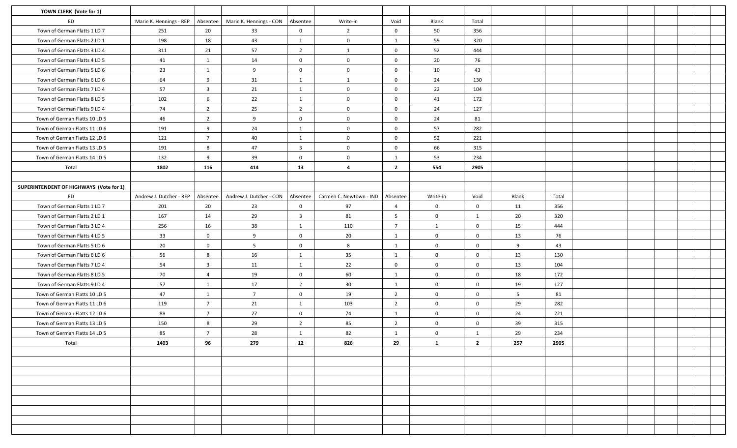| TOWN CLERK (Vote for 1)                 |                         |                         |                                    |                         |                                  |                 |                |                |       |       |  |
|-----------------------------------------|-------------------------|-------------------------|------------------------------------|-------------------------|----------------------------------|-----------------|----------------|----------------|-------|-------|--|
| ED                                      | Marie K. Hennings - REP | Absentee                | Marie K. Hennings - CON   Absentee |                         | Write-in                         | Void            | Blank          | Total          |       |       |  |
| Town of German Flatts 1 LD 7            | 251                     | 20                      | 33                                 | $\mathbf 0$             | $\overline{2}$                   | $\mathbf 0$     | 50             | 356            |       |       |  |
| Town of German Flatts 2 LD 1            | 198                     | 18                      | 43                                 | 1                       | $\mathbf 0$                      | 1               | 59             | 320            |       |       |  |
| Town of German Flatts 3 LD 4            | 311                     | 21                      | 57                                 | $\overline{2}$          | 1                                | $\mathbf 0$     | 52             | 444            |       |       |  |
| Town of German Flatts 4 LD 5            | 41                      | 1                       | 14                                 | $\mathbf 0$             | $\mathbf 0$                      | $\mathbf 0$     | 20             | 76             |       |       |  |
| Town of German Flatts 5 LD 6            | 23                      | 1                       | 9                                  | $\overline{0}$          | $\mathbf 0$                      | $\mathbf 0$     | 10             | 43             |       |       |  |
| Town of German Flatts 6 LD 6            | 64                      | 9                       | 31                                 | 1                       | 1                                | $\mathbf{0}$    | 24             | 130            |       |       |  |
| Town of German Flatts 7 LD 4            | 57                      | $\overline{\mathbf{3}}$ | 21                                 | 1                       | $\mathbf 0$                      | $\mathbf{0}$    | 22             | 104            |       |       |  |
| Town of German Flatts 8 LD 5            | 102                     | 6                       | 22                                 | $\mathbf{1}$            | $\mathbf 0$                      | $\mathbf{0}$    | 41             | 172            |       |       |  |
| Town of German Flatts 9 LD 4            | 74                      | $\overline{2}$          | 25                                 | $\overline{2}$          | $\mathbf 0$                      | $\mathbf 0$     | 24             | 127            |       |       |  |
| Town of German Flatts 10 LD 5           | 46                      | $\overline{2}$          | 9                                  | $\mathbf 0$             | $\mathbf 0$                      | $\mathbf{0}$    | 24             | 81             |       |       |  |
| Town of German Flatts 11 LD 6           | 191                     | 9                       | 24                                 | 1                       | $\mathbf 0$                      | $\mathbf{0}$    | 57             | 282            |       |       |  |
| Town of German Flatts 12 LD 6           | 121                     | $\overline{7}$          | 40                                 | 1                       | $\mathbf 0$                      | $\mathbf 0$     | 52             | 221            |       |       |  |
| Town of German Flatts 13 LD 5           | 191                     | 8                       | 47                                 | $\overline{\mathbf{3}}$ | $\mathbf 0$                      | $\mathbf 0$     | 66             | 315            |       |       |  |
| Town of German Flatts 14 LD 5           | 132                     | 9                       | 39                                 | $\mathbf 0$             | $\mathbf 0$                      | 1               | 53             | 234            |       |       |  |
| Total                                   | 1802                    | 116                     | 414                                | 13                      | 4                                | $\overline{2}$  | 554            | 2905           |       |       |  |
|                                         |                         |                         |                                    |                         |                                  |                 |                |                |       |       |  |
| SUPERINTENDENT OF HIGHWAYS (Vote for 1) |                         |                         |                                    |                         |                                  |                 |                |                |       |       |  |
| ED                                      | Andrew J. Dutcher - REP | Absentee                | Andrew J. Dutcher - CON   Absentee |                         | Carmen C. Newtown - IND Absentee |                 | Write-in       | Void           | Blank | Total |  |
| Town of German Flatts 1 LD 7            | 201                     | 20                      | 23                                 | $\mathbf 0$             | 97                               | $\overline{4}$  | $\mathbf 0$    | $\overline{0}$ | 11    | 356   |  |
| Town of German Flatts 2 LD 1            | 167                     | 14                      | 29                                 | $\overline{\mathbf{3}}$ | 81                               | $5\overline{5}$ | $\mathbf 0$    | 1              | 20    | 320   |  |
| Town of German Flatts 3 LD 4            | 256                     | 16                      | 38                                 | 1                       | 110                              | $\overline{7}$  | $\mathbf{1}$   | $\mathbf 0$    | 15    | 444   |  |
| Town of German Flatts 4 LD 5            | 33                      | $\mathbf{0}$            | 9                                  | $\overline{0}$          | 20                               | $\mathbf{1}$    | $\mathbf{0}$   | $\mathbf 0$    | 13    | 76    |  |
| Town of German Flatts 5 LD 6            | 20                      | $\overline{0}$          | 5                                  | $\overline{0}$          | 8                                | 1               | $\mathbf{0}$   | $\mathbf{0}$   | 9     | 43    |  |
| Town of German Flatts 6 LD 6            | 56                      | 8                       | 16                                 | 1                       | 35                               | 1               | $\mathbf{0}$   | $\overline{0}$ | 13    | 130   |  |
| Town of German Flatts 7 LD 4            | 54                      | $\overline{\mathbf{3}}$ | 11                                 | $\mathbf{1}$            | 22                               | $\mathbf{0}$    | $\mathbf{0}$   | $\mathbf 0$    | 13    | 104   |  |
| Town of German Flatts 8 LD 5            | 70                      | $\overline{4}$          | 19                                 | $\mathbf 0$             | 60                               | $\mathbf{1}$    | $\mathbf 0$    | $\mathbf 0$    | 18    | 172   |  |
| Town of German Flatts 9 LD 4            | 57                      | 1                       | 17                                 | $\overline{2}$          | 30                               | $\mathbf{1}$    | $\mathbf 0$    | $\mathbf 0$    | 19    | 127   |  |
| Town of German Flatts 10 LD 5           | 47                      | 1                       | $\overline{7}$                     | $\overline{0}$          | 19                               | $\overline{2}$  | $\mathbf{0}$   | $\overline{0}$ | 5     | 81    |  |
| Town of German Flatts 11 LD 6           | 119                     | $\overline{7}$          | 21                                 | 1                       | 103                              | $\overline{2}$  | $\mathbf 0$    | 0              | 29    | 282   |  |
| Town of German Flatts 12 LD 6           | 88                      | $\overline{7}$          | 27                                 | $\mathbf 0$             | 74                               | $\mathbf{1}$    | $\mathbf 0$    | 0              | 24    | 221   |  |
| Town of German Flatts 13 LD 5           | 150                     | 8                       | 29                                 | $\overline{2}$          | 85                               | $\overline{2}$  | $\mathbf 0$    | $\mathbf 0$    | 39    | 315   |  |
| Town of German Flatts 14 LD 5           | 85                      | $7\overline{ }$         | 28                                 | 1                       | 82                               | $\mathbf{1}$    | $\overline{0}$ | $\mathbf{1}$   | 29    | 234   |  |
| Total                                   | 1403                    | 96                      | 279                                | 12                      | 826                              | 29              | $\mathbf{1}$   | $\overline{2}$ | 257   | 2905  |  |
|                                         |                         |                         |                                    |                         |                                  |                 |                |                |       |       |  |
|                                         |                         |                         |                                    |                         |                                  |                 |                |                |       |       |  |
|                                         |                         |                         |                                    |                         |                                  |                 |                |                |       |       |  |
|                                         |                         |                         |                                    |                         |                                  |                 |                |                |       |       |  |
|                                         |                         |                         |                                    |                         |                                  |                 |                |                |       |       |  |
|                                         |                         |                         |                                    |                         |                                  |                 |                |                |       |       |  |
|                                         |                         |                         |                                    |                         |                                  |                 |                |                |       |       |  |
|                                         |                         |                         |                                    |                         |                                  |                 |                |                |       |       |  |
|                                         |                         |                         |                                    |                         |                                  |                 |                |                |       |       |  |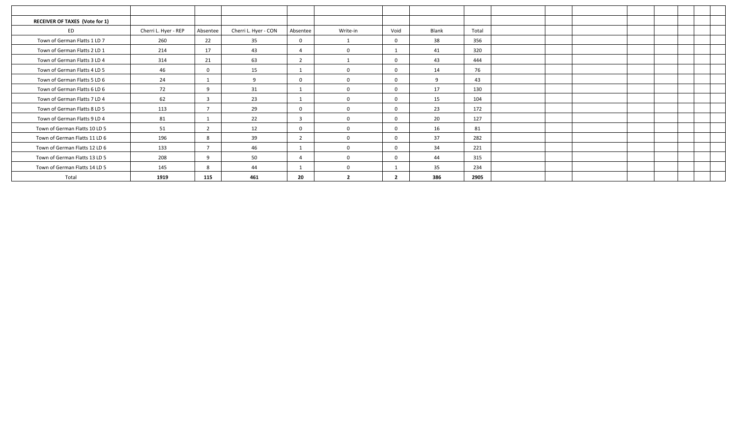| <b>RECEIVER OF TAXES (Vote for 1)</b> |                      |                |                      |                |                |                |       |       |  |  |
|---------------------------------------|----------------------|----------------|----------------------|----------------|----------------|----------------|-------|-------|--|--|
| ED                                    | Cherri L. Hyer - REP | Absentee       | Cherri L. Hyer - CON | Absentee       | Write-in       | Void           | Blank | Total |  |  |
| Town of German Flatts 1 LD 7          | 260                  | 22             | 35                   | $\Omega$       |                | $\mathbf 0$    | 38    | 356   |  |  |
| Town of German Flatts 2 LD 1          | 214                  | 17             | 43                   | $\Delta$       | $\Omega$       |                | 41    | 320   |  |  |
| Town of German Flatts 3 LD 4          | 314                  | 21             | 63                   | $\overline{2}$ |                | $\mathbf 0$    | 43    | 444   |  |  |
| Town of German Flatts 4 LD 5          | 46                   | $\Omega$       | 15                   |                | $\Omega$       | $\Omega$       | 14    | 76    |  |  |
| Town of German Flatts 5 LD 6          | 24                   |                | $\mathsf{q}$         | 0              | $\Omega$       | $\mathbf 0$    | 9     | 43    |  |  |
| Town of German Flatts 6 LD 6          | 72                   | q              | 31                   |                | $\Omega$       | $\mathbf 0$    | 17    | 130   |  |  |
| Town of German Flatts 7 LD 4          | 62                   | 3              | 23                   |                | $\Omega$       | $\mathbf 0$    | 15    | 104   |  |  |
| Town of German Flatts 8 LD 5          | 113                  | $\overline{ }$ | 29                   | $\Omega$       | $\Omega$       | $\mathbf 0$    | 23    | 172   |  |  |
| Town of German Flatts 9 LD 4          | 81                   |                | 22                   | $\overline{3}$ | $\Omega$       | $\mathbf 0$    | 20    | 127   |  |  |
| Town of German Flatts 10 LD 5         | 51                   | $\overline{z}$ | 12                   | $\mathbf 0$    | $\Omega$       | $\mathbf 0$    | 16    | 81    |  |  |
| Town of German Flatts 11 LD 6         | 196                  | 8              | 39                   | $\overline{2}$ | $\Omega$       | $\Omega$       | 37    | 282   |  |  |
| Town of German Flatts 12 LD 6         | 133                  | $\overline{ }$ | 46                   |                | $\Omega$       | $\mathbf 0$    | 34    | 221   |  |  |
| Town of German Flatts 13 LD 5         | 208                  | $\mathbf{q}$   | 50                   | $\Delta$       | $\Omega$       | $\mathbf 0$    | 44    | 315   |  |  |
| Town of German Flatts 14 LD 5         | 145                  | 8              | 44                   |                | $\Omega$       | - 1            | 35    | 234   |  |  |
| Total                                 | 1919                 | 115            | 461                  | 20             | $\overline{2}$ | $\overline{2}$ | 386   | 2905  |  |  |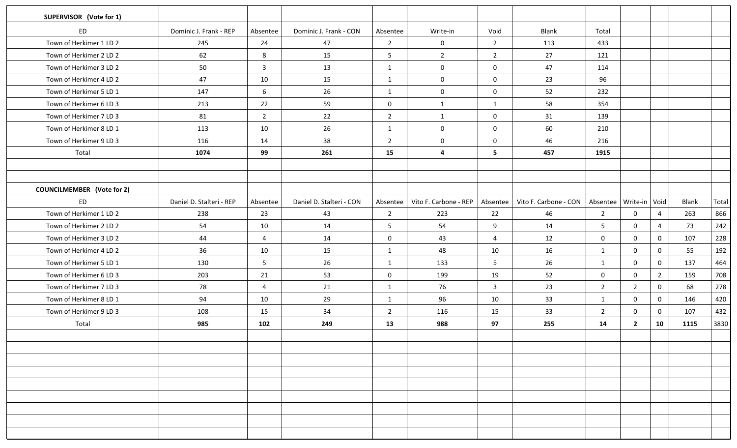| SUPERVISOR (Vote for 1)           |                          |                |                          |                |                       |                 |                       |                |                |                |       |       |
|-----------------------------------|--------------------------|----------------|--------------------------|----------------|-----------------------|-----------------|-----------------------|----------------|----------------|----------------|-------|-------|
| ED                                | Dominic J. Frank - REP   | Absentee       | Dominic J. Frank - CON   | Absentee       | Write-in              | Void            | Blank                 | Total          |                |                |       |       |
| Town of Herkimer 1 LD 2           | 245                      | 24             | 47                       | $\overline{2}$ | $\mathbf 0$           | $\overline{2}$  | 113                   | 433            |                |                |       |       |
| Town of Herkimer 2 LD 2           | 62                       | 8              | 15                       | 5              | $\overline{2}$        | $\overline{2}$  | 27                    | 121            |                |                |       |       |
| Town of Herkimer 3 LD 2           | 50                       | 3              | 13                       | $\mathbf{1}$   | $\mathbf 0$           | $\mathbf 0$     | 47                    | 114            |                |                |       |       |
| Town of Herkimer 4 LD 2           | 47                       | 10             | 15                       | $\mathbf{1}$   | $\mathbf 0$           | $\mathbf 0$     | 23                    | 96             |                |                |       |       |
| Town of Herkimer 5 LD 1           | 147                      | 6              | 26                       | 1              | $\mathbf 0$           | $\mathbf 0$     | 52                    | 232            |                |                |       |       |
| Town of Herkimer 6 LD 3           | 213                      | 22             | 59                       | $\mathbf 0$    | $\mathbf{1}$          | $\mathbf{1}$    | 58                    | 354            |                |                |       |       |
| Town of Herkimer 7 LD 3           | 81                       | $\overline{2}$ | 22                       | $\overline{2}$ | 1                     | $\mathbf 0$     | 31                    | 139            |                |                |       |       |
| Town of Herkimer 8 LD 1           | 113                      | 10             | 26                       | $\mathbf{1}$   | $\mathbf 0$           | $\mathbf 0$     | 60                    | 210            |                |                |       |       |
| Town of Herkimer 9 LD 3           | 116                      | 14             | 38                       | $\overline{2}$ | $\mathbf 0$           | $\mathbf 0$     | 46                    | 216            |                |                |       |       |
| Total                             | 1074                     | 99             | 261                      | 15             | 4                     | $5\phantom{.0}$ | 457                   | 1915           |                |                |       |       |
|                                   |                          |                |                          |                |                       |                 |                       |                |                |                |       |       |
|                                   |                          |                |                          |                |                       |                 |                       |                |                |                |       |       |
| <b>COUNCILMEMBER</b> (Vote for 2) |                          |                |                          |                |                       |                 |                       |                |                |                |       |       |
| ED                                | Daniel D. Stalteri - REP | Absentee       | Daniel D. Stalteri - CON | Absentee       | Vito F. Carbone - REP | Absentee        | Vito F. Carbone - CON | Absentee       | Write-in       | Void           | Blank | Total |
| Town of Herkimer 1 LD 2           | 238                      | 23             | 43                       | $\overline{2}$ | 223                   | 22              | 46                    | $\overline{2}$ | $\mathbf 0$    | $\overline{4}$ | 263   | 866   |
| Town of Herkimer 2 LD 2           | 54                       | 10             | 14                       | 5              | 54                    | 9               | 14                    | 5              | $\mathbf 0$    | $\overline{4}$ | 73    | 242   |
| Town of Herkimer 3 LD 2           | 44                       | 4              | 14                       | $\mathbf 0$    | 43                    | 4               | 12                    | $\mathbf 0$    | $\mathbf{0}$   | $\overline{0}$ | 107   | 228   |
| Town of Herkimer 4 LD 2           | 36                       | 10             | 15                       | $\mathbf{1}$   | 48                    | 10              | 16                    | $\mathbf{1}$   | $\mathbf 0$    | $\mathbf{0}$   | 55    | 192   |
| Town of Herkimer 5 LD 1           | 130                      | 5              | 26                       | 1              | 133                   | 5               | 26                    | $\mathbf{1}$   | $\mathbf 0$    | $\mathbf 0$    | 137   | 464   |
| Town of Herkimer 6 LD 3           | 203                      | 21             | 53                       | $\mathbf 0$    | 199                   | 19              | 52                    | $\mathbf 0$    | $\mathbf 0$    | $\overline{2}$ | 159   | 708   |
| Town of Herkimer 7 LD 3           | 78                       | 4              | 21                       | $\mathbf{1}$   | 76                    | $\overline{3}$  | 23                    | $\overline{2}$ | $\overline{2}$ | $\mathbf{0}$   | 68    | 278   |
| Town of Herkimer 8 LD 1           | 94                       | 10             | 29                       | $\mathbf{1}$   | 96                    | 10              | 33                    | $\mathbf{1}$   | $\mathbf 0$    | $\mathbf{0}$   | 146   | 420   |
| Town of Herkimer 9 LD 3           | 108                      | 15             | 34                       | $\overline{2}$ | 116                   | 15              | 33                    | $\overline{2}$ | $\mathbf 0$    | $\mathbf{0}$   | 107   | 432   |
| Total                             | 985                      | 102            | 249                      | 13             | 988                   | 97              | 255                   | 14             | $\overline{2}$ | 10             | 1115  | 3830  |
|                                   |                          |                |                          |                |                       |                 |                       |                |                |                |       |       |
|                                   |                          |                |                          |                |                       |                 |                       |                |                |                |       |       |
|                                   |                          |                |                          |                |                       |                 |                       |                |                |                |       |       |
|                                   |                          |                |                          |                |                       |                 |                       |                |                |                |       |       |
|                                   |                          |                |                          |                |                       |                 |                       |                |                |                |       |       |
|                                   |                          |                |                          |                |                       |                 |                       |                |                |                |       |       |
|                                   |                          |                |                          |                |                       |                 |                       |                |                |                |       |       |
|                                   |                          |                |                          |                |                       |                 |                       |                |                |                |       |       |
|                                   |                          |                |                          |                |                       |                 |                       |                |                |                |       |       |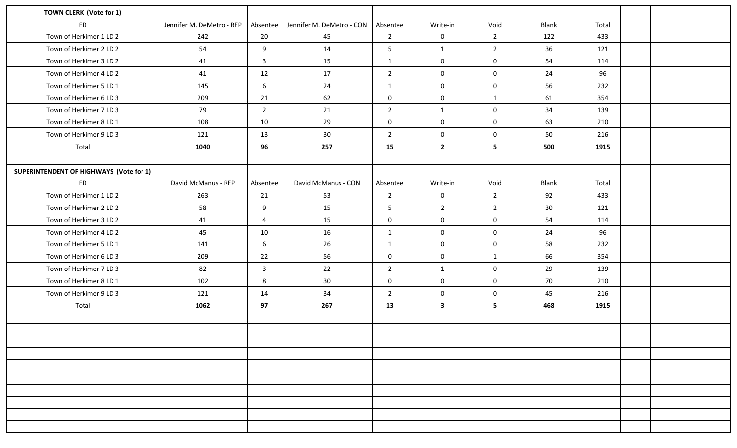| <b>TOWN CLERK (Vote for 1)</b>          |                           |                |                           |                |                |                  |                 |       |  |  |
|-----------------------------------------|---------------------------|----------------|---------------------------|----------------|----------------|------------------|-----------------|-------|--|--|
| ED                                      | Jennifer M. DeMetro - REP | Absentee       | Jennifer M. DeMetro - CON | Absentee       | Write-in       | Void             | Blank           | Total |  |  |
| Town of Herkimer 1 LD 2                 | 242                       | 20             | 45                        | $\overline{2}$ | $\mathbf 0$    | $\overline{2}$   | 122             | 433   |  |  |
| Town of Herkimer 2 LD 2                 | 54                        | 9              | 14                        | 5              | $\mathbf{1}$   | $\overline{2}$   | 36              | 121   |  |  |
| Town of Herkimer 3 LD 2                 | 41                        | $\overline{3}$ | 15                        | $\mathbf{1}$   | $\mathbf 0$    | $\boldsymbol{0}$ | 54              | 114   |  |  |
| Town of Herkimer 4 LD 2                 | 41                        | 12             | 17                        | $\overline{2}$ | $\mathbf 0$    | $\boldsymbol{0}$ | 24              | 96    |  |  |
| Town of Herkimer 5 LD 1                 | 145                       | 6              | 24                        | $\mathbf{1}$   | $\mathbf 0$    | $\boldsymbol{0}$ | 56              | 232   |  |  |
| Town of Herkimer 6 LD 3                 | 209                       | 21             | 62                        | $\mathbf 0$    | $\mathbf 0$    | $\mathbf{1}$     | 61              | 354   |  |  |
| Town of Herkimer 7 LD 3                 | 79                        | $\overline{2}$ | 21                        | $\overline{2}$ | $\mathbf{1}$   | $\mathbf 0$      | 34              | 139   |  |  |
| Town of Herkimer 8 LD 1                 | 108                       | 10             | 29                        | $\mathbf 0$    | $\mathbf 0$    | $\mathbf 0$      | 63              | 210   |  |  |
| Town of Herkimer 9 LD 3                 | 121                       | 13             | 30                        | $\overline{2}$ | $\mathbf 0$    | $\boldsymbol{0}$ | 50              | 216   |  |  |
| Total                                   | 1040                      | 96             | 257                       | 15             | $\overline{2}$ | 5                | 500             | 1915  |  |  |
|                                         |                           |                |                           |                |                |                  |                 |       |  |  |
| SUPERINTENDENT OF HIGHWAYS (Vote for 1) |                           |                |                           |                |                |                  |                 |       |  |  |
| ED                                      | David McManus - REP       | Absentee       | David McManus - CON       | Absentee       | Write-in       | Void             | Blank           | Total |  |  |
| Town of Herkimer 1 LD 2                 | 263                       | 21             | 53                        | $\overline{2}$ | $\mathbf 0$    | $2^{\circ}$      | 92              | 433   |  |  |
| Town of Herkimer 2 LD 2                 | 58                        | 9              | 15                        | 5              | $\overline{2}$ | $\overline{2}$   | 30 <sup>°</sup> | 121   |  |  |
| Town of Herkimer 3 LD 2                 | 41                        | $\overline{4}$ | 15                        | $\mathbf 0$    | $\mathbf 0$    | $\mathbf 0$      | 54              | 114   |  |  |
| Town of Herkimer 4 LD 2                 | 45                        | 10             | 16                        | $\mathbf{1}$   | $\mathbf 0$    | $\boldsymbol{0}$ | 24              | 96    |  |  |
| Town of Herkimer 5 LD 1                 | 141                       | 6              | 26                        | $\mathbf{1}$   | $\mathbf 0$    | $\boldsymbol{0}$ | 58              | 232   |  |  |
| Town of Herkimer 6 LD 3                 | 209                       | 22             | 56                        | $\mathbf 0$    | $\mathbf 0$    | $\mathbf{1}$     | 66              | 354   |  |  |
| Town of Herkimer 7 LD 3                 | 82                        | $\overline{3}$ | 22                        | $\overline{2}$ | $\mathbf{1}$   | $\mathbf{0}$     | 29              | 139   |  |  |
| Town of Herkimer 8 LD 1                 | 102                       | 8              | 30                        | $\mathbf 0$    | $\mathbf 0$    | $\boldsymbol{0}$ | 70              | 210   |  |  |
| Town of Herkimer 9 LD 3                 | 121                       | 14             | 34                        | $\overline{2}$ | $\mathbf 0$    | $\mathbf 0$      | 45              | 216   |  |  |
| Total                                   | 1062                      | 97             | 267                       | 13             | $\mathbf{3}$   | 5                | 468             | 1915  |  |  |
|                                         |                           |                |                           |                |                |                  |                 |       |  |  |
|                                         |                           |                |                           |                |                |                  |                 |       |  |  |
|                                         |                           |                |                           |                |                |                  |                 |       |  |  |
|                                         |                           |                |                           |                |                |                  |                 |       |  |  |
|                                         |                           |                |                           |                |                |                  |                 |       |  |  |
|                                         |                           |                |                           |                |                |                  |                 |       |  |  |
|                                         |                           |                |                           |                |                |                  |                 |       |  |  |
|                                         |                           |                |                           |                |                |                  |                 |       |  |  |
|                                         |                           |                |                           |                |                |                  |                 |       |  |  |
|                                         |                           |                |                           |                |                |                  |                 |       |  |  |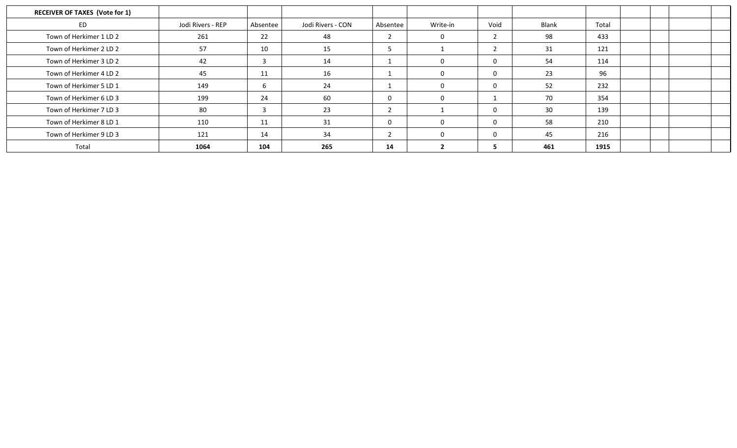| <b>RECEIVER OF TAXES (Vote for 1)</b> |                   |                |                   |                |          |                |       |       |  |
|---------------------------------------|-------------------|----------------|-------------------|----------------|----------|----------------|-------|-------|--|
| ED                                    | Jodi Rivers - REP | Absentee       | Jodi Rivers - CON | Absentee       | Write-in | Void           | Blank | Total |  |
| Town of Herkimer 1 LD 2               | 261               | 22             | 48                | $\overline{2}$ | $\Omega$ | $\overline{2}$ | 98    | 433   |  |
| Town of Herkimer 2 LD 2               | 57                | 10             | 15                |                |          | $\overline{2}$ | 31    | 121   |  |
| Town of Herkimer 3 LD 2               | 42                | $\overline{3}$ | 14                |                |          | $\mathbf 0$    | 54    | 114   |  |
| Town of Herkimer 4 LD 2               | 45                | 11             | 16                |                |          | $\mathbf 0$    | 23    | 96    |  |
| Town of Herkimer 5 LD 1               | 149               | 6              | 24                |                |          | $\mathbf 0$    | 52    | 232   |  |
| Town of Herkimer 6 LD 3               | 199               | 24             | 60                | 0              |          | ᆠ              | 70    | 354   |  |
| Town of Herkimer 7 LD 3               | 80                | 3              | 23                |                |          | $\mathbf 0$    | 30    | 139   |  |
| Town of Herkimer 8 LD 1               | 110               | 11             | 31                | 0              |          | $\mathbf 0$    | 58    | 210   |  |
| Town of Herkimer 9 LD 3               | 121               | 14             | 34                |                |          | $\mathbf 0$    | 45    | 216   |  |
| Total                                 | 1064              | 104            | 265               | 14             |          |                | 461   | 1915  |  |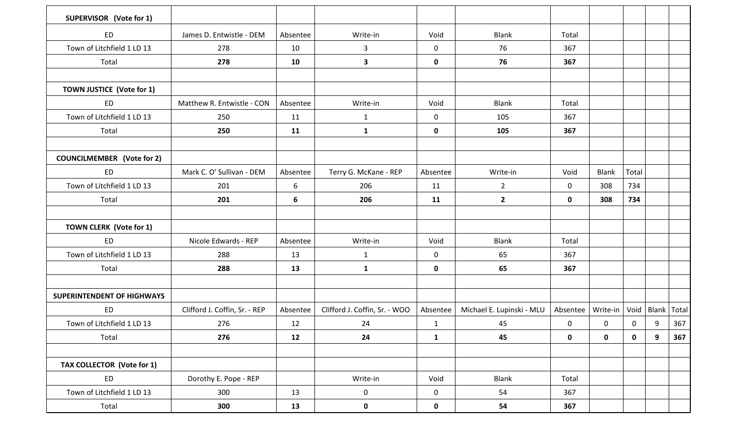| SUPERVISOR (Vote for 1)           |                               |          |                               |              |                           |             |              |             |            |       |
|-----------------------------------|-------------------------------|----------|-------------------------------|--------------|---------------------------|-------------|--------------|-------------|------------|-------|
| ED                                | James D. Entwistle - DEM      | Absentee | Write-in                      | Void         | <b>Blank</b>              | Total       |              |             |            |       |
| Town of Litchfield 1 LD 13        | 278                           | 10       | 3                             | $\mathbf{0}$ | 76                        | 367         |              |             |            |       |
| Total                             | 278                           | 10       | $\mathbf{3}$                  | $\mathbf 0$  | 76                        | 367         |              |             |            |       |
|                                   |                               |          |                               |              |                           |             |              |             |            |       |
| <b>TOWN JUSTICE (Vote for 1)</b>  |                               |          |                               |              |                           |             |              |             |            |       |
| ED                                | Matthew R. Entwistle - CON    | Absentee | Write-in                      | Void         | <b>Blank</b>              | Total       |              |             |            |       |
| Town of Litchfield 1 LD 13        | 250                           | 11       | $\mathbf{1}$                  | $\mathbf 0$  | 105                       | 367         |              |             |            |       |
| Total                             | 250                           | 11       | $\mathbf{1}$                  | $\mathbf 0$  | 105                       | 367         |              |             |            |       |
|                                   |                               |          |                               |              |                           |             |              |             |            |       |
| <b>COUNCILMEMBER</b> (Vote for 2) |                               |          |                               |              |                           |             |              |             |            |       |
| ED                                | Mark C. O' Sullivan - DEM     | Absentee | Terry G. McKane - REP         | Absentee     | Write-in                  | Void        | <b>Blank</b> | Total       |            |       |
| Town of Litchfield 1 LD 13        | 201                           | 6        | 206                           | 11           | $\overline{2}$            | $\mathbf 0$ | 308          | 734         |            |       |
| Total                             | 201                           | 6        | 206                           | 11           | $\mathbf{2}$              | $\mathbf 0$ | 308          | 734         |            |       |
|                                   |                               |          |                               |              |                           |             |              |             |            |       |
| <b>TOWN CLERK (Vote for 1)</b>    |                               |          |                               |              |                           |             |              |             |            |       |
| ED                                | Nicole Edwards - REP          | Absentee | Write-in                      | Void         | <b>Blank</b>              | Total       |              |             |            |       |
| Town of Litchfield 1 LD 13        | 288                           | 13       | $\mathbf{1}$                  | $\mathbf 0$  | 65                        | 367         |              |             |            |       |
| Total                             | 288                           | 13       | $\mathbf{1}$                  | $\mathbf 0$  | 65                        | 367         |              |             |            |       |
|                                   |                               |          |                               |              |                           |             |              |             |            |       |
| <b>SUPERINTENDENT OF HIGHWAYS</b> |                               |          |                               |              |                           |             |              |             |            |       |
| <b>ED</b>                         | Clifford J. Coffin, Sr. - REP | Absentee | Clifford J. Coffin, Sr. - WOO | Absentee     | Michael E. Lupinski - MLU | Absentee    | Write-in     |             | Void Blank | Total |
| Town of Litchfield 1 LD 13        | 276                           | 12       | 24                            | $\mathbf{1}$ | 45                        | $\mathbf 0$ | $\mathbf 0$  | $\mathbf 0$ | 9          | 367   |
| Total                             | 276                           | 12       | 24                            | $\mathbf{1}$ | 45                        | $\mathbf 0$ | 0            | $\mathbf 0$ | 9          | 367   |
|                                   |                               |          |                               |              |                           |             |              |             |            |       |
| TAX COLLECTOR (Vote for 1)        |                               |          |                               |              |                           |             |              |             |            |       |
| ED                                | Dorothy E. Pope - REP         |          | Write-in                      | Void         | Blank                     | Total       |              |             |            |       |
| Town of Litchfield 1 LD 13        | 300                           | 13       | $\mathbf 0$                   | $\mathbf 0$  | 54                        | 367         |              |             |            |       |
| Total                             | 300                           | 13       | $\mathbf 0$                   | $\mathbf 0$  | 54                        | 367         |              |             |            |       |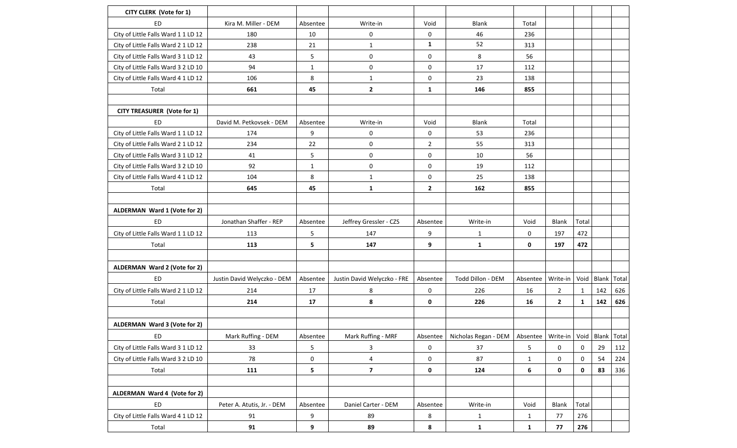| CITY CLERK (Vote for 1)             |                             |              |                             |                     |                      |                                            |                  |              |       |       |
|-------------------------------------|-----------------------------|--------------|-----------------------------|---------------------|----------------------|--------------------------------------------|------------------|--------------|-------|-------|
| <b>ED</b>                           | Kira M. Miller - DEM        | Absentee     | Write-in                    | Void                | <b>Blank</b>         | Total                                      |                  |              |       |       |
| City of Little Falls Ward 1 1 LD 12 | 180                         | $10\,$       | $\mathbf 0$                 | 0                   | 46                   | 236                                        |                  |              |       |       |
| City of Little Falls Ward 2 1 LD 12 | 238                         | 21           | $\mathbf{1}$                | $\mathbf{1}$        | 52                   | 313                                        |                  |              |       |       |
| City of Little Falls Ward 3 1 LD 12 | 43                          | 5            | $\boldsymbol{0}$            | 0                   | 8                    | 56                                         |                  |              |       |       |
| City of Little Falls Ward 3 2 LD 10 | 94                          | $\mathbf{1}$ | $\boldsymbol{0}$            | 0                   | 17                   | 112                                        |                  |              |       |       |
| City of Little Falls Ward 4 1 LD 12 | 106                         | 8            | $\mathbf{1}$                | 0                   | 23                   | 138                                        |                  |              |       |       |
| Total                               | 661                         | 45           | $\mathbf{2}$                | $\mathbf{1}$        | 146                  | 855                                        |                  |              |       |       |
|                                     |                             |              |                             |                     |                      |                                            |                  |              |       |       |
| <b>CITY TREASURER (Vote for 1)</b>  |                             |              |                             |                     |                      |                                            |                  |              |       |       |
| <b>ED</b>                           | David M. Petkovsek - DEM    | Absentee     | Write-in                    | Void                | <b>Blank</b>         | Total                                      |                  |              |       |       |
| City of Little Falls Ward 1 1 LD 12 | 174                         | 9            | 0                           | 0                   | 53                   | 236                                        |                  |              |       |       |
| City of Little Falls Ward 2 1 LD 12 | 234                         | 22           | $\mathbf 0$                 | $\overline{2}$      | 55                   | 313                                        |                  |              |       |       |
| City of Little Falls Ward 3 1 LD 12 | 41                          | 5            | $\boldsymbol{0}$            | 0                   | 10                   | 56                                         |                  |              |       |       |
| City of Little Falls Ward 3 2 LD 10 | 92                          | $\mathbf{1}$ | $\mathbf 0$                 | 0                   | 19                   | 112                                        |                  |              |       |       |
| City of Little Falls Ward 4 1 LD 12 | 104                         | 8            | $\mathbf{1}$                | 0                   | 25                   | 138                                        |                  |              |       |       |
| Total                               | 645                         | 45           | $\mathbf{1}$                | $\mathbf{2}$        | 162                  | 855                                        |                  |              |       |       |
|                                     |                             |              |                             |                     |                      |                                            |                  |              |       |       |
| ALDERMAN Ward 1 (Vote for 2)        |                             |              |                             |                     |                      |                                            |                  |              |       |       |
| <b>ED</b>                           | Jonathan Shaffer - REP      | Absentee     | Jeffrey Gressler - CZS      | Absentee            | Write-in             | Void                                       | Blank            | Total        |       |       |
| City of Little Falls Ward 1 1 LD 12 | 113                         | 5            | 147                         | 9                   | $\mathbf{1}$         | 0                                          | 197              | 472          |       |       |
| Total                               | 113                         | 5            | 147                         | 9                   | $\mathbf{1}$         | 0                                          | 197              | 472          |       |       |
|                                     |                             |              |                             |                     |                      |                                            |                  |              |       |       |
| ALDERMAN Ward 2 (Vote for 2)        |                             |              |                             |                     |                      |                                            |                  |              |       |       |
| ED                                  | Justin David Welyczko - DEM | Absentee     | Justin David Welyczko - FRE | Absentee            | Todd Dillon - DEM    | Absentee                                   | Write-in         | Void         | Blank | Total |
| City of Little Falls Ward 2 1 LD 12 | 214                         | 17           | 8                           | $\pmb{0}$           | 226                  | 16                                         | $\overline{2}$   | $\mathbf{1}$ | 142   | 626   |
| Total                               | 214                         | 17           | 8                           | 0                   | 226                  | 16                                         | $\mathbf{2}$     | 1            | 142   | 626   |
|                                     |                             |              |                             |                     |                      |                                            |                  |              |       |       |
| ALDERMAN Ward 3 (Vote for 2)        |                             |              |                             |                     |                      |                                            |                  |              |       |       |
| ED                                  | Mark Ruffing - DEM          | Absentee     | Mark Ruffing - MRF          | Absentee            | Nicholas Regan - DEM | Absentee   Write-in   Void   Blank   Total |                  |              |       |       |
| City of Little Falls Ward 3 1 LD 12 | 33                          | 5            | 3                           | $\mathsf{O}\xspace$ | 37                   | $5\phantom{.0}$                            | $\boldsymbol{0}$ | $\mathbf 0$  | 29    | 112   |
| City of Little Falls Ward 3 2 LD 10 | 78                          | 0            | 4                           | 0                   | 87                   | $\mathbf{1}$                               | 0                | 0            | 54    | 224   |
| Total                               | 111                         | 5            | $\overline{\mathbf{z}}$     | 0                   | 124                  | 6                                          | $\mathbf 0$      | 0            | 83    | 336   |
|                                     |                             |              |                             |                     |                      |                                            |                  |              |       |       |
| ALDERMAN Ward 4 (Vote for 2)        |                             |              |                             |                     |                      |                                            |                  |              |       |       |
| ED                                  | Peter A. Atutis, Jr. - DEM  | Absentee     | Daniel Carter - DEM         | Absentee            | Write-in             | Void                                       | Blank            | Total        |       |       |
| City of Little Falls Ward 4 1 LD 12 | 91                          | 9            | 89                          | 8                   | $\mathbf{1}$         | $\mathbf{1}$                               | 77               | 276          |       |       |
| Total                               | 91                          | 9            | 89                          | 8                   | $\mathbf{1}$         | $\mathbf 1$                                | $77$             | 276          |       |       |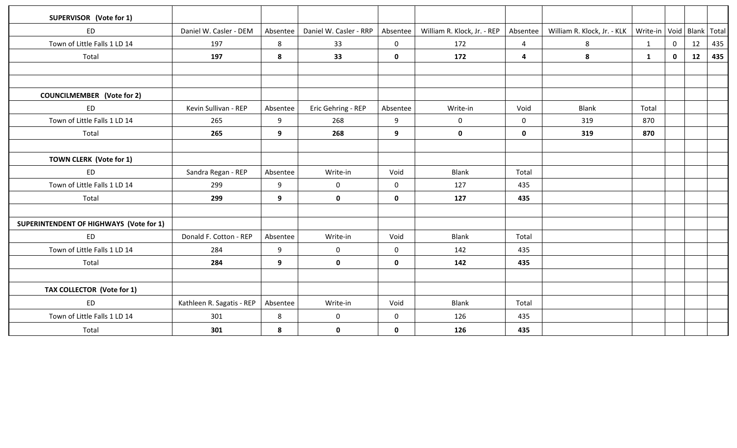| SUPERVISOR (Vote for 1)                 |                           |          |                        |                  |                             |                |                             |                                 |             |    |     |
|-----------------------------------------|---------------------------|----------|------------------------|------------------|-----------------------------|----------------|-----------------------------|---------------------------------|-------------|----|-----|
| ED                                      | Daniel W. Casler - DEM    | Absentee | Daniel W. Casler - RRP | Absentee         | William R. Klock, Jr. - REP | Absentee       | William R. Klock, Jr. - KLK | Write-in   Void   Blank   Total |             |    |     |
| Town of Little Falls 1 LD 14            | 197                       | 8        | 33                     | $\mathbf 0$      | 172                         | $\overline{4}$ | 8                           | $\mathbf{1}$                    | $\mathbf 0$ | 12 | 435 |
| Total                                   | 197                       | 8        | 33                     | $\mathbf 0$      | 172                         | 4              | ${\bf 8}$                   | $\mathbf{1}$                    | $\mathbf 0$ | 12 | 435 |
|                                         |                           |          |                        |                  |                             |                |                             |                                 |             |    |     |
|                                         |                           |          |                        |                  |                             |                |                             |                                 |             |    |     |
| <b>COUNCILMEMBER (Vote for 2)</b>       |                           |          |                        |                  |                             |                |                             |                                 |             |    |     |
| ED                                      | Kevin Sullivan - REP      | Absentee | Eric Gehring - REP     | Absentee         | Write-in                    | Void           | <b>Blank</b>                | Total                           |             |    |     |
| Town of Little Falls 1 LD 14            | 265                       | 9        | 268                    | 9                | $\mathbf 0$                 | $\pmb{0}$      | 319                         | 870                             |             |    |     |
| Total                                   | 265                       | 9        | 268                    | $\boldsymbol{9}$ | $\mathbf 0$                 | $\mathbf 0$    | 319                         | 870                             |             |    |     |
|                                         |                           |          |                        |                  |                             |                |                             |                                 |             |    |     |
| TOWN CLERK (Vote for 1)                 |                           |          |                        |                  |                             |                |                             |                                 |             |    |     |
| ED                                      | Sandra Regan - REP        | Absentee | Write-in               | Void             | Blank                       | Total          |                             |                                 |             |    |     |
| Town of Little Falls 1 LD 14            | 299                       | 9        | $\mathbf 0$            | $\mathbf 0$      | 127                         | 435            |                             |                                 |             |    |     |
| Total                                   | 299                       | 9        | $\mathbf 0$            | $\mathbf 0$      | 127                         | 435            |                             |                                 |             |    |     |
|                                         |                           |          |                        |                  |                             |                |                             |                                 |             |    |     |
| SUPERINTENDENT OF HIGHWAYS (Vote for 1) |                           |          |                        |                  |                             |                |                             |                                 |             |    |     |
| ED                                      | Donald F. Cotton - REP    | Absentee | Write-in               | Void             | <b>Blank</b>                | Total          |                             |                                 |             |    |     |
| Town of Little Falls 1 LD 14            | 284                       | 9        | $\mathbf 0$            | $\mathbf 0$      | 142                         | 435            |                             |                                 |             |    |     |
| Total                                   | 284                       | 9        | $\mathbf 0$            | $\mathbf 0$      | 142                         | 435            |                             |                                 |             |    |     |
|                                         |                           |          |                        |                  |                             |                |                             |                                 |             |    |     |
| TAX COLLECTOR (Vote for 1)              |                           |          |                        |                  |                             |                |                             |                                 |             |    |     |
| ED                                      | Kathleen R. Sagatis - REP | Absentee | Write-in               | Void             | <b>Blank</b>                | Total          |                             |                                 |             |    |     |
| Town of Little Falls 1 LD 14            | 301                       | 8        | $\mathbf 0$            | $\mathbf 0$      | 126                         | 435            |                             |                                 |             |    |     |
| Total                                   | 301                       | 8        | $\mathbf 0$            | $\mathbf 0$      | 126                         | 435            |                             |                                 |             |    |     |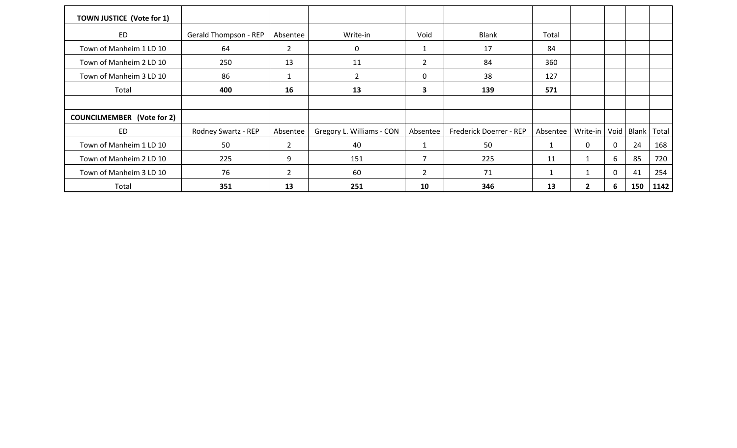| <b>TOWN JUSTICE (Vote for 1)</b>  |                              |                |                           |                |                         |              |              |          |              |       |
|-----------------------------------|------------------------------|----------------|---------------------------|----------------|-------------------------|--------------|--------------|----------|--------------|-------|
| <b>ED</b>                         | <b>Gerald Thompson - REP</b> | Absentee       | Write-in                  | Void           | <b>Blank</b>            | Total        |              |          |              |       |
| Town of Manheim 1 LD 10           | 64                           | $2^{\circ}$    | $\mathbf 0$               | $\mathbf{1}$   | 17                      | 84           |              |          |              |       |
| Town of Manheim 2 LD 10           | 250                          | 13             | 11                        | $\overline{2}$ | 84                      | 360          |              |          |              |       |
| Town of Manheim 3 LD 10           | 86                           | $\mathbf{1}$   | $2^{\circ}$               | $\mathbf 0$    | 38                      | 127          |              |          |              |       |
| Total                             | 400                          | 16             | 13                        | 3              | 139                     | 571          |              |          |              |       |
|                                   |                              |                |                           |                |                         |              |              |          |              |       |
| <b>COUNCILMEMBER (Vote for 2)</b> |                              |                |                           |                |                         |              |              |          |              |       |
| <b>ED</b>                         | Rodney Swartz - REP          | Absentee       | Gregory L. Williams - CON | Absentee       | Frederick Doerrer - REP | Absentee     | Write-in     | Void     | <b>Blank</b> | Total |
| Town of Manheim 1 LD 10           | 50                           | $2^{\circ}$    | 40                        | 1              | 50                      | $\mathbf{1}$ | $\mathbf 0$  | $\Omega$ | 24           | 168   |
| Town of Manheim 2 LD 10           | 225                          | 9              | 151                       | $\overline{7}$ | 225                     | 11           | $\mathbf{1}$ | 6        | 85           | 720   |
| Town of Manheim 3 LD 10           | 76                           | $\overline{2}$ | 60                        | $\overline{2}$ | 71                      | $\mathbf{1}$ | $\mathbf{1}$ | $\Omega$ | 41           | 254   |
| Total                             | 351                          | 13             | 251                       | 10             | 346                     | 13           | $\mathbf{2}$ | 6        | 150          | 1142  |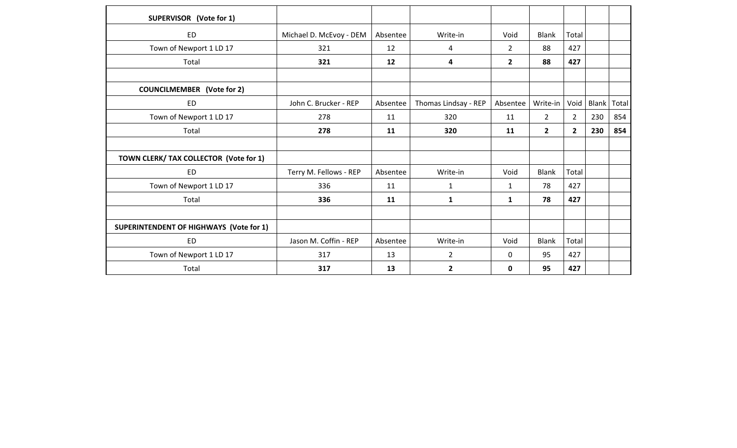| SUPERVISOR (Vote for 1)                        |                         |          |                      |                |                |                |             |     |
|------------------------------------------------|-------------------------|----------|----------------------|----------------|----------------|----------------|-------------|-----|
| <b>ED</b>                                      | Michael D. McEvoy - DEM | Absentee | Write-in             | Void           | <b>Blank</b>   | Total          |             |     |
| Town of Newport 1 LD 17                        | 321                     | 12       | 4                    | $\overline{2}$ | 88             | 427            |             |     |
| Total                                          | 321                     | 12       | 4                    | $\overline{2}$ | 88             | 427            |             |     |
|                                                |                         |          |                      |                |                |                |             |     |
| <b>COUNCILMEMBER</b> (Vote for 2)              |                         |          |                      |                |                |                |             |     |
| <b>ED</b>                                      | John C. Brucker - REP   | Absentee | Thomas Lindsay - REP | Absentee       | Write-in       | Void           | Blank Total |     |
| Town of Newport 1 LD 17                        | 278                     | 11       | 320                  | 11             | $\overline{2}$ | $\overline{2}$ | 230         | 854 |
| Total                                          | 278                     | 11       | 320                  | 11             | $\overline{2}$ | $\overline{2}$ | 230         | 854 |
|                                                |                         |          |                      |                |                |                |             |     |
| TOWN CLERK/ TAX COLLECTOR (Vote for 1)         |                         |          |                      |                |                |                |             |     |
| <b>ED</b>                                      | Terry M. Fellows - REP  | Absentee | Write-in             | Void           | <b>Blank</b>   | Total          |             |     |
| Town of Newport 1 LD 17                        | 336                     | 11       | $\mathbf{1}$         | $\mathbf{1}$   | 78             | 427            |             |     |
| Total                                          | 336                     | 11       | $\mathbf{1}$         | $\mathbf{1}$   | 78             | 427            |             |     |
|                                                |                         |          |                      |                |                |                |             |     |
| <b>SUPERINTENDENT OF HIGHWAYS (Vote for 1)</b> |                         |          |                      |                |                |                |             |     |
| <b>ED</b>                                      | Jason M. Coffin - REP   | Absentee | Write-in             | Void           | <b>Blank</b>   | Total          |             |     |
| Town of Newport 1 LD 17                        | 317                     | 13       | $\overline{2}$       | $\Omega$       | 95             | 427            |             |     |
| Total                                          | 317                     | 13       | $\mathbf{2}$         | 0              | 95             | 427            |             |     |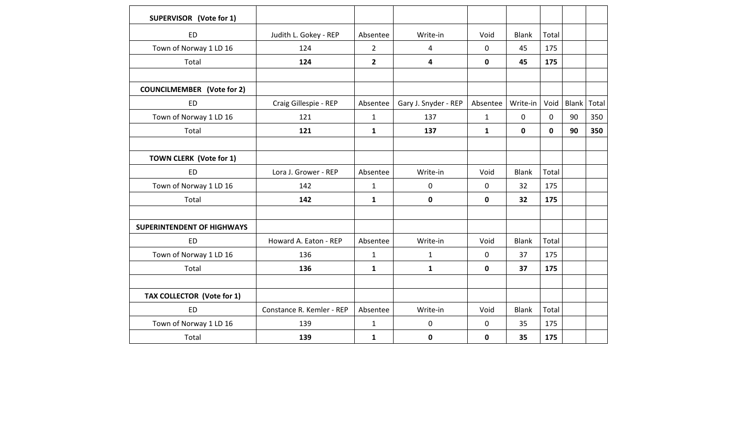| SUPERVISOR (Vote for 1)           |                           |                         |                      |              |              |              |       |       |
|-----------------------------------|---------------------------|-------------------------|----------------------|--------------|--------------|--------------|-------|-------|
|                                   |                           |                         |                      |              |              |              |       |       |
| <b>ED</b>                         | Judith L. Gokey - REP     | Absentee                | Write-in             | Void         | Blank        | Total        |       |       |
| Town of Norway 1 LD 16            | 124                       | $\overline{2}$          | 4                    | 0            | 45           | 175          |       |       |
| Total                             | 124                       | $\overline{\mathbf{2}}$ | 4                    | $\mathbf{0}$ | 45           | 175          |       |       |
|                                   |                           |                         |                      |              |              |              |       |       |
| <b>COUNCILMEMBER</b> (Vote for 2) |                           |                         |                      |              |              |              |       |       |
| <b>ED</b>                         | Craig Gillespie - REP     | Absentee                | Gary J. Snyder - REP | Absentee     | Write-in     | Void         | Blank | Total |
| Town of Norway 1 LD 16            | 121                       | $\mathbf{1}$            | 137                  | $\mathbf{1}$ | $\mathbf 0$  | $\mathbf{0}$ | 90    | 350   |
| Total                             | 121                       | 1                       | 137                  | $\mathbf{1}$ | $\mathbf 0$  | $\mathbf 0$  | 90    | 350   |
|                                   |                           |                         |                      |              |              |              |       |       |
| <b>TOWN CLERK (Vote for 1)</b>    |                           |                         |                      |              |              |              |       |       |
| <b>ED</b>                         | Lora J. Grower - REP      | Absentee                | Write-in             | Void         | <b>Blank</b> | Total        |       |       |
| Town of Norway 1 LD 16            | 142                       | $\mathbf{1}$            | $\mathbf 0$          | $\mathbf 0$  | 32           | 175          |       |       |
| Total                             | 142                       | $\mathbf{1}$            | $\mathbf 0$          | 0            | 32           | 175          |       |       |
|                                   |                           |                         |                      |              |              |              |       |       |
| <b>SUPERINTENDENT OF HIGHWAYS</b> |                           |                         |                      |              |              |              |       |       |
| <b>ED</b>                         | Howard A. Eaton - REP     | Absentee                | Write-in             | Void         | <b>Blank</b> | Total        |       |       |
| Town of Norway 1 LD 16            | 136                       | $\mathbf{1}$            | $\mathbf{1}$         | $\mathbf 0$  | 37           | 175          |       |       |
| Total                             | 136                       | 1                       | $\mathbf{1}$         | $\mathbf 0$  | 37           | 175          |       |       |
|                                   |                           |                         |                      |              |              |              |       |       |
| TAX COLLECTOR (Vote for 1)        |                           |                         |                      |              |              |              |       |       |
| <b>ED</b>                         | Constance R. Kemler - REP | Absentee                | Write-in             | Void         | <b>Blank</b> | Total        |       |       |
| Town of Norway 1 LD 16            | 139                       | $\mathbf{1}$            | $\mathbf 0$          | 0            | 35           | 175          |       |       |
| Total                             | 139                       | $\mathbf{1}$            | $\mathbf 0$          | 0            | 35           | 175          |       |       |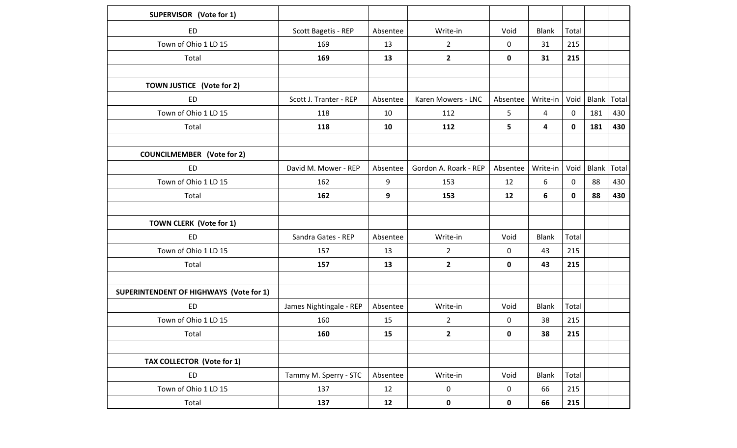| SUPERVISOR (Vote for 1)                        |                         |          |                         |             |                |             |              |       |
|------------------------------------------------|-------------------------|----------|-------------------------|-------------|----------------|-------------|--------------|-------|
| <b>ED</b>                                      | Scott Bagetis - REP     | Absentee | Write-in                | Void        | <b>Blank</b>   | Total       |              |       |
| Town of Ohio 1 LD 15                           | 169                     | 13       | $\overline{2}$          | 0           | 31             | 215         |              |       |
| Total                                          | 169                     | 13       | $\mathbf{2}$            | $\mathbf 0$ | 31             | 215         |              |       |
|                                                |                         |          |                         |             |                |             |              |       |
| <b>TOWN JUSTICE</b> (Vote for 2)               |                         |          |                         |             |                |             |              |       |
| <b>ED</b>                                      | Scott J. Tranter - REP  | Absentee | Karen Mowers - LNC      | Absentee    | Write-in       | Void        | Blank        | Total |
| Town of Ohio 1 LD 15                           | 118                     | 10       | 112                     | 5           | $\overline{4}$ | $\mathbf 0$ | 181          | 430   |
| Total                                          | 118                     | 10       | 112                     | 5           | 4              | $\mathbf 0$ | 181          | 430   |
| <b>COUNCILMEMBER</b> (Vote for 2)              |                         |          |                         |             |                |             |              |       |
| <b>ED</b>                                      | David M. Mower - REP    | Absentee | Gordon A. Roark - REP   | Absentee    | Write-in       | Void        | <b>Blank</b> | Total |
| Town of Ohio 1 LD 15                           | 162                     | 9        | 153                     | 12          | 6              | 0           | 88           | 430   |
| Total                                          | 162                     | 9        | 153                     | 12          | 6              | $\mathbf 0$ | 88           | 430   |
|                                                |                         |          |                         |             |                |             |              |       |
| <b>TOWN CLERK (Vote for 1)</b>                 |                         |          |                         |             |                |             |              |       |
| ED                                             | Sandra Gates - REP      | Absentee | Write-in                | Void        | Blank          | Total       |              |       |
| Town of Ohio 1 LD 15                           | 157                     | 13       | $2^{\circ}$             | 0           | 43             | 215         |              |       |
| Total                                          | 157                     | 13       | $\overline{2}$          | 0           | 43             | 215         |              |       |
| <b>SUPERINTENDENT OF HIGHWAYS (Vote for 1)</b> |                         |          |                         |             |                |             |              |       |
| ED                                             | James Nightingale - REP | Absentee | Write-in                | Void        | <b>Blank</b>   | Total       |              |       |
| Town of Ohio 1 LD 15                           | 160                     | 15       | $\overline{2}$          | $\mathbf 0$ | 38             | 215         |              |       |
| Total                                          | 160                     | 15       | $\overline{\mathbf{c}}$ | 0           | 38             | 215         |              |       |
|                                                |                         |          |                         |             |                |             |              |       |
| TAX COLLECTOR (Vote for 1)                     |                         |          |                         |             |                |             |              |       |
| ED                                             | Tammy M. Sperry - STC   | Absentee | Write-in                | Void        | <b>Blank</b>   | Total       |              |       |
| Town of Ohio 1 LD 15                           | 137                     | 12       | $\boldsymbol{0}$        | $\mathbf 0$ | 66             | 215         |              |       |
| Total                                          | 137                     | 12       | $\pmb{0}$               | 0           | 66             | 215         |              |       |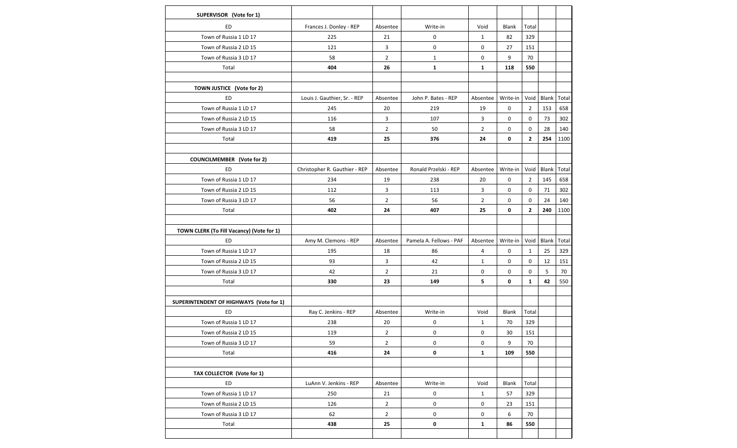| SUPERVISOR (Vote for 1)                   |                               |                |                         |                |             |                |       |       |
|-------------------------------------------|-------------------------------|----------------|-------------------------|----------------|-------------|----------------|-------|-------|
| <b>ED</b>                                 | Frances J. Donley - REP       | Absentee       | Write-in                | Void           | Blank       | Total          |       |       |
| Town of Russia 1 LD 17                    | 225                           | 21             | 0                       | $\mathbf{1}$   | 82          | 329            |       |       |
| Town of Russia 2 LD 15                    | 121                           | 3              | 0                       | 0              | 27          | 151            |       |       |
| Town of Russia 3 LD 17                    | 58                            | $\overline{2}$ | $\mathbf{1}$            | 0              | 9           | 70             |       |       |
| Total                                     | 404                           | 26             | $\mathbf{1}$            | $\mathbf{1}$   | 118         | 550            |       |       |
|                                           |                               |                |                         |                |             |                |       |       |
| TOWN JUSTICE (Vote for 2)                 |                               |                |                         |                |             |                |       |       |
| ED                                        | Louis J. Gauthier, Sr. - REP  | Absentee       | John P. Bates - REP     | Absentee       | Write-in    | Void           | Blank | Total |
| Town of Russia 1 LD 17                    | 245                           | 20             | 219                     | 19             | 0           | 2              | 153   | 658   |
| Town of Russia 2 LD 15                    | 116                           | 3              | 107                     | 3              | 0           | $\mathbf 0$    | 73    | 302   |
| Town of Russia 3 LD 17                    | 58                            | $\overline{2}$ | 50                      | $\overline{2}$ | $\mathbf 0$ | $\mathbf 0$    | 28    | 140   |
| Total                                     | 419                           | 25             | 376                     | 24             | 0           | $\overline{2}$ | 254   | 1100  |
|                                           |                               |                |                         |                |             |                |       |       |
| <b>COUNCILMEMBER (Vote for 2)</b>         |                               |                |                         |                |             |                |       |       |
| <b>ED</b>                                 | Christopher R. Gauthier - REP | Absentee       | Ronald Przelski - REP   | Absentee       | Write-in    | Void           | Blank | Total |
| Town of Russia 1 LD 17                    | 234                           | 19             | 238                     | 20             | 0           | $\overline{2}$ | 145   | 658   |
| Town of Russia 2 LD 15                    | 112                           | 3              | 113                     | 3              | $\mathbf 0$ | $\mathbf 0$    | 71    | 302   |
| Town of Russia 3 LD 17                    | 56                            | $\overline{2}$ | 56                      | $\overline{2}$ | $\mathbf 0$ | $\mathbf 0$    | 24    | 140   |
| Total                                     | 402                           | 24             | 407                     | 25             | 0           | $\mathbf{2}$   | 240   | 1100  |
|                                           |                               |                |                         |                |             |                |       |       |
| TOWN CLERK (To Fill Vacancy) (Vote for 1) |                               |                |                         |                |             |                |       |       |
| <b>ED</b>                                 | Amy M. Clemons - REP          | Absentee       | Pamela A. Fellows - PAF | Absentee       | Write-in    | Void           | Blank | Total |
| Town of Russia 1 LD 17                    | 195                           | 18             | 86                      | 4              | 0           | $\mathbf{1}$   | 25    | 329   |
| Town of Russia 2 LD 15                    | 93                            | 3              | 42                      | $\mathbf{1}$   | 0           | $\mathbf 0$    | 12    | 151   |
| Town of Russia 3 LD 17                    | 42                            | $\overline{2}$ | 21                      | 0              | $\mathbf 0$ | $\mathbf 0$    | 5     | 70    |
| Total                                     | 330                           | 23             | 149                     | 5              | 0           | $\mathbf{1}$   | 42    | 550   |
|                                           |                               |                |                         |                |             |                |       |       |
| SUPERINTENDENT OF HIGHWAYS (Vote for 1)   |                               |                |                         |                |             |                |       |       |
| ED                                        | Ray C. Jenkins - REP          | Absentee       | Write-in                | Void           | Blank       | Total          |       |       |
| Town of Russia 1 LD 17                    | 238                           | 20             | 0                       | $\mathbf{1}$   | 70          | 329            |       |       |
| Town of Russia 2 LD 15                    | 119                           | $\overline{2}$ | 0                       | 0              | 30          | 151            |       |       |
| Town of Russia 3 LD 17                    | 59                            | $\overline{2}$ | 0                       | 0              | 9           | 70             |       |       |
| Total                                     | 416                           | 24             | 0                       | $\mathbf{1}$   | 109         | 550            |       |       |
|                                           |                               |                |                         |                |             |                |       |       |
| TAX COLLECTOR (Vote for 1)                |                               |                |                         |                |             |                |       |       |
| ED                                        | LuAnn V. Jenkins - REP        | Absentee       | Write-in                | Void           | Blank       | Total          |       |       |
| Town of Russia 1 LD 17                    | 250                           | 21             | 0                       | $\mathbf{1}$   | 57          | 329            |       |       |
| Town of Russia 2 LD 15                    | 126                           | $\overline{2}$ | 0                       | 0              | 23          | 151            |       |       |
| Town of Russia 3 LD 17                    | 62                            | $\overline{2}$ | 0                       | 0              | 6           | 70             |       |       |
| Total                                     | 438                           | 25             | 0                       | $\mathbf{1}$   | 86          | 550            |       |       |
|                                           |                               |                |                         |                |             |                |       |       |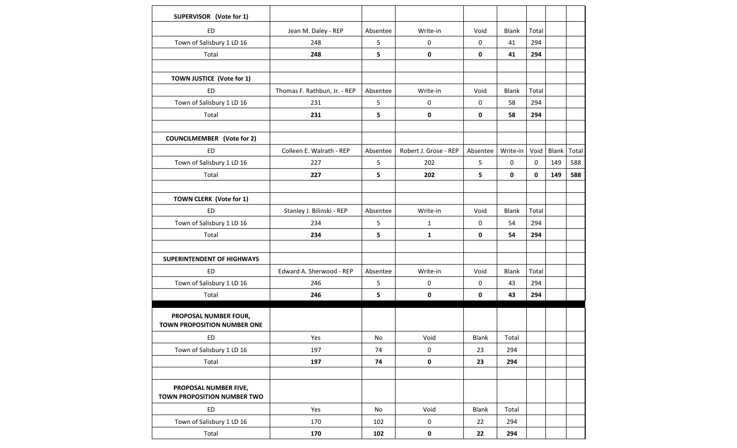| SUPERVISOR (Vote for 1)                                     |                              |          |                       |             |              |             |       |       |
|-------------------------------------------------------------|------------------------------|----------|-----------------------|-------------|--------------|-------------|-------|-------|
| ED                                                          | Jean M. Daley - REP          | Absentee | Write-in              | Void        | Blank        | Total       |       |       |
| Town of Salisbury 1 LD 16                                   | 248                          | 5        | 0                     | 0           | 41           | 294         |       |       |
| Total                                                       | 248                          | 5        | 0                     | $\mathbf 0$ | 41           | 294         |       |       |
|                                                             |                              |          |                       |             |              |             |       |       |
| TOWN JUSTICE (Vote for 1)                                   |                              |          |                       |             |              |             |       |       |
| <b>ED</b>                                                   | Thomas F. Rathbun, Jr. - REP | Absentee | Write-in              | Void        | <b>Blank</b> | Total       |       |       |
| Town of Salisbury 1 LD 16                                   | 231                          | 5        | $\mathbf 0$           | 0           | 58           | 294         |       |       |
| Total                                                       | 231                          | 5        | 0                     | $\mathbf 0$ | 58           | 294         |       |       |
|                                                             |                              |          |                       |             |              |             |       |       |
| <b>COUNCILMEMBER</b> (Vote for 2)                           |                              |          |                       |             |              |             |       |       |
| ED                                                          | Colleen E. Walrath - REP     | Absentee | Robert J. Grose - REP | Absentee    | Write-in     | Void        | Blank | Total |
| Town of Salisbury 1 LD 16                                   | 227                          | 5        | 202                   | 5           | 0            | $\mathbf 0$ | 149   | 588   |
| Total                                                       | 227                          | 5        | 202                   | 5           | 0            | $\mathbf 0$ | 149   | 588   |
|                                                             |                              |          |                       |             |              |             |       |       |
| TOWN CLERK (Vote for 1)                                     |                              |          |                       |             |              |             |       |       |
| <b>ED</b>                                                   | Stanley J. Bilinski - REP    | Absentee | Write-in              | Void        | <b>Blank</b> | Total       |       |       |
| Town of Salisbury 1 LD 16                                   | 234                          | 5        | $\mathbf{1}$          | 0           | 54           | 294         |       |       |
| Total                                                       | 234                          | 5        | $\mathbf{1}$          | $\mathbf 0$ | 54           | 294         |       |       |
|                                                             |                              |          |                       |             |              |             |       |       |
| <b>SUPERINTENDENT OF HIGHWAYS</b>                           |                              |          |                       |             |              |             |       |       |
| ED.                                                         | Edward A. Sherwood - REP     | Absentee | Write-in              | Void        | <b>Blank</b> | Total       |       |       |
| Town of Salisbury 1 LD 16                                   | 246                          | 5        | $\mathbf 0$           | $\mathbf 0$ | 43           | 294         |       |       |
| Total                                                       | 246                          | 5        | 0                     | 0           | 43           | 294         |       |       |
| PROPOSAL NUMBER FOUR,<br><b>TOWN PROPOSITION NUMBER ONE</b> |                              |          |                       |             |              |             |       |       |
| ED                                                          | Yes                          | No       | Void                  | Blank       | Total        |             |       |       |
| Town of Salisbury 1 LD 16                                   | 197                          | 74       | $\mathbf 0$           | 23          | 294          |             |       |       |
| Total                                                       | 197                          | 74       | $\mathbf 0$           | 23          | 294          |             |       |       |
|                                                             |                              |          |                       |             |              |             |       |       |
| PROPOSAL NUMBER FIVE,<br>TOWN PROPOSITION NUMBER TWO        |                              |          |                       |             |              |             |       |       |
| ED                                                          | Yes                          | No       | Void                  | Blank       | Total        |             |       |       |
| Town of Salisbury 1 LD 16                                   | 170                          | 102      | $\mathbf 0$           | 22          | 294          |             |       |       |
| Total                                                       | 170                          | 102      | $\mathbf 0$           | 22          | 294          |             |       |       |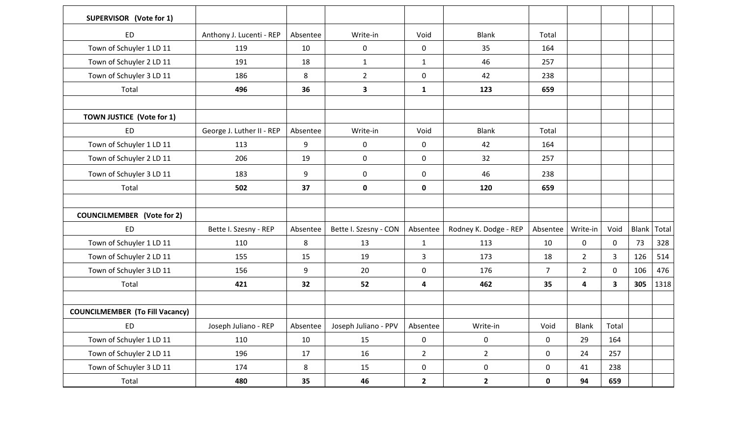| SUPERVISOR (Vote for 1)                |                           |          |                       |                |                       |                |                         |             |       |       |
|----------------------------------------|---------------------------|----------|-----------------------|----------------|-----------------------|----------------|-------------------------|-------------|-------|-------|
| <b>ED</b>                              | Anthony J. Lucenti - REP  | Absentee | Write-in              | Void           | <b>Blank</b>          | Total          |                         |             |       |       |
| Town of Schuyler 1 LD 11               | 119                       | 10       | 0                     | $\pmb{0}$      | 35                    | 164            |                         |             |       |       |
| Town of Schuyler 2 LD 11               | 191                       | 18       | $\mathbf{1}$          | $\mathbf{1}$   | 46                    | 257            |                         |             |       |       |
| Town of Schuyler 3 LD 11               | 186                       | 8        | $\overline{2}$        | $\mathbf 0$    | 42                    | 238            |                         |             |       |       |
| Total                                  | 496                       | 36       | $\mathbf{3}$          | $\mathbf{1}$   | 123                   | 659            |                         |             |       |       |
|                                        |                           |          |                       |                |                       |                |                         |             |       |       |
| <b>TOWN JUSTICE (Vote for 1)</b>       |                           |          |                       |                |                       |                |                         |             |       |       |
| <b>ED</b>                              | George J. Luther II - REP | Absentee | Write-in              | Void           | <b>Blank</b>          | Total          |                         |             |       |       |
| Town of Schuyler 1 LD 11               | 113                       | 9        | 0                     | $\mathbf 0$    | 42                    | 164            |                         |             |       |       |
| Town of Schuyler 2 LD 11               | 206                       | 19       | $\mathbf 0$           | $\mathbf{0}$   | 32                    | 257            |                         |             |       |       |
| Town of Schuyler 3 LD 11               | 183                       | 9        | $\mathbf 0$           | $\mathbf 0$    | 46                    | 238            |                         |             |       |       |
| Total                                  | 502                       | 37       | $\mathbf 0$           | $\mathbf 0$    | 120                   | 659            |                         |             |       |       |
|                                        |                           |          |                       |                |                       |                |                         |             |       |       |
| <b>COUNCILMEMBER (Vote for 2)</b>      |                           |          |                       |                |                       |                |                         |             |       |       |
| <b>ED</b>                              | Bette I. Szesny - REP     | Absentee | Bette I. Szesny - CON | Absentee       | Rodney K. Dodge - REP | Absentee       | Write-in                | Void        | Blank | Total |
| Town of Schuyler 1 LD 11               | 110                       | 8        | 13                    | $\mathbf{1}$   | 113                   | 10             | $\mathbf 0$             | $\mathbf 0$ | 73    | 328   |
| Town of Schuyler 2 LD 11               | 155                       | 15       | 19                    | 3              | 173                   | 18             | $2^{\circ}$             | 3           | 126   | 514   |
| Town of Schuyler 3 LD 11               | 156                       | 9        | 20                    | $\mathbf 0$    | 176                   | $\overline{7}$ | $2^{\circ}$             | $\mathbf 0$ | 106   | 476   |
| Total                                  | 421                       | 32       | 52                    | 4              | 462                   | 35             | $\overline{\mathbf{4}}$ | 3           | 305   | 1318  |
|                                        |                           |          |                       |                |                       |                |                         |             |       |       |
| <b>COUNCILMEMBER (To Fill Vacancy)</b> |                           |          |                       |                |                       |                |                         |             |       |       |
| <b>ED</b>                              | Joseph Juliano - REP      | Absentee | Joseph Juliano - PPV  | Absentee       | Write-in              | Void           | <b>Blank</b>            | Total       |       |       |
| Town of Schuyler 1 LD 11               | 110                       | 10       | 15                    | $\mathbf 0$    | $\mathbf 0$           | $\mathbf 0$    | 29                      | 164         |       |       |
| Town of Schuyler 2 LD 11               | 196                       | 17       | 16                    | $\overline{2}$ | $\overline{2}$        | $\mathbf 0$    | 24                      | 257         |       |       |
| Town of Schuyler 3 LD 11               | 174                       | 8        | 15                    | $\pmb{0}$      | $\mathbf 0$           | $\mathbf 0$    | 41                      | 238         |       |       |
| Total                                  | 480                       | 35       | 46                    | $\overline{2}$ | $\overline{2}$        | $\mathbf 0$    | 94                      | 659         |       |       |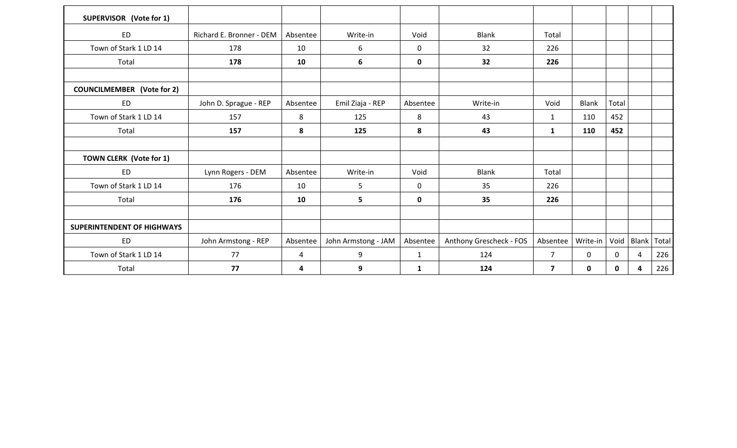| SUPERVISOR (Vote for 1)           |                          |                |                     |              |                         |                         |              |              |       |       |
|-----------------------------------|--------------------------|----------------|---------------------|--------------|-------------------------|-------------------------|--------------|--------------|-------|-------|
| <b>ED</b>                         | Richard E. Bronner - DEM | Absentee       | Write-in            | Void         | <b>Blank</b>            | Total                   |              |              |       |       |
| Town of Stark 1 LD 14             | 178                      | 10             | $\boldsymbol{6}$    | $\mathbf 0$  | 32                      | 226                     |              |              |       |       |
| Total                             | 178                      | 10             | 6                   | 0            | 32                      | 226                     |              |              |       |       |
|                                   |                          |                |                     |              |                         |                         |              |              |       |       |
| <b>COUNCILMEMBER (Vote for 2)</b> |                          |                |                     |              |                         |                         |              |              |       |       |
| <b>ED</b>                         | John D. Sprague - REP    | Absentee       | Emil Ziaja - REP    | Absentee     | Write-in                | Void                    | <b>Blank</b> | Total        |       |       |
| Town of Stark 1 LD 14             | 157                      | 8              | 125                 | 8            | 43                      | $\mathbf{1}$            | 110          | 452          |       |       |
| Total                             | 157                      | 8              | 125                 | 8            | 43                      | $\mathbf{1}$            | 110          | 452          |       |       |
|                                   |                          |                |                     |              |                         |                         |              |              |       |       |
| <b>TOWN CLERK (Vote for 1)</b>    |                          |                |                     |              |                         |                         |              |              |       |       |
| <b>ED</b>                         | Lynn Rogers - DEM        | Absentee       | Write-in            | Void         | <b>Blank</b>            | Total                   |              |              |       |       |
| Town of Stark 1 LD 14             | 176                      | 10             | 5                   | $\mathbf 0$  | 35                      | 226                     |              |              |       |       |
| Total                             | 176                      | 10             | $5\phantom{.0}$     | $\mathbf 0$  | 35                      | 226                     |              |              |       |       |
|                                   |                          |                |                     |              |                         |                         |              |              |       |       |
| <b>SUPERINTENDENT OF HIGHWAYS</b> |                          |                |                     |              |                         |                         |              |              |       |       |
| <b>ED</b>                         | John Armstong - REP      | Absentee       | John Armstong - JAM | Absentee     | Anthony Grescheck - FOS | Absentee                | Write-in     | Void         | Blank | Total |
| Town of Stark 1 LD 14             | 77                       | $\overline{4}$ | 9                   | $\mathbf{1}$ | 124                     | $\overline{7}$          | $\mathbf 0$  | $\mathbf{0}$ | 4     | 226   |
| Total                             | 77                       | 4              | 9                   | $\mathbf{1}$ | 124                     | $\overline{\mathbf{z}}$ | $\mathbf 0$  | 0            | 4     | 226   |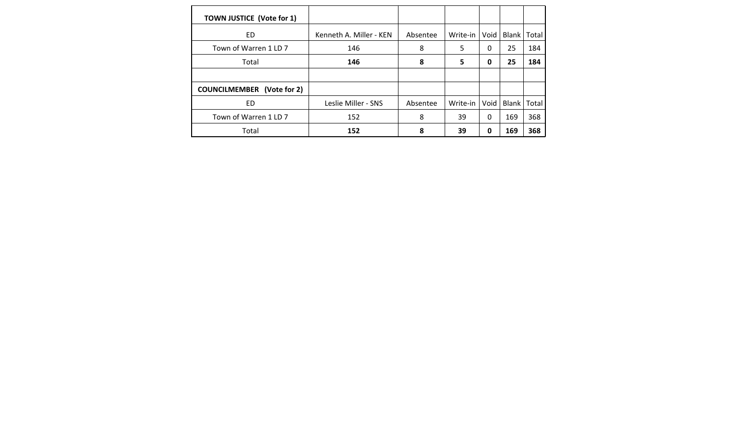| <b>TOWN JUSTICE (Vote for 1)</b>  |                         |          |          |      |              |       |
|-----------------------------------|-------------------------|----------|----------|------|--------------|-------|
| ED.                               | Kenneth A. Miller - KEN | Absentee | Write-in | Void | <b>Blank</b> | Total |
| Town of Warren 1 LD 7             | 146                     | 8        | 5        | 0    | 25           | 184   |
| Total                             | 146                     | 8        | 5        | 0    | 25           | 184   |
|                                   |                         |          |          |      |              |       |
| <b>COUNCILMEMBER</b> (Vote for 2) |                         |          |          |      |              |       |
| ED.                               | Leslie Miller - SNS     | Absentee | Write-in | Void | <b>Blank</b> | Total |
| Town of Warren 1 LD 7             | 152                     | 8        | 39       | 0    | 169          | 368   |
| Total                             | 152                     | 8        | 39       | 0    | 169          | 368   |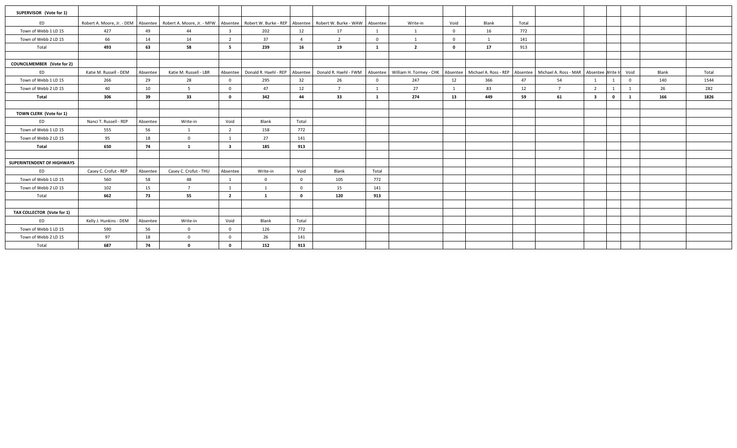| SUPERVISOR (Vote for 1)           |                        |          |                                                                                                                                          |                         |                       |                |                       |                |                                    |              |                                  |       |                       |                         |              |                |       |       |
|-----------------------------------|------------------------|----------|------------------------------------------------------------------------------------------------------------------------------------------|-------------------------|-----------------------|----------------|-----------------------|----------------|------------------------------------|--------------|----------------------------------|-------|-----------------------|-------------------------|--------------|----------------|-------|-------|
| ED                                |                        |          | Robert A. Moore, Jr. - DEM   Absentee   Robert A. Moore, Jr. - MFW   Absentee   Robert W. Burke - REP   Absentee   Robert W. Burke - WAW |                         |                       |                |                       | Absentee       | Write-in                           | Void         | Blank                            | Total |                       |                         |              |                |       |       |
| Town of Webb 1 LD 15              | 427                    | 49       | 44                                                                                                                                       | $\overline{\mathbf{3}}$ | 202                   | 12             | 17                    | $\overline{1}$ | $\mathbf{1}$                       | $\mathbf{0}$ | 16                               | 772   |                       |                         |              |                |       |       |
| Town of Webb 2 LD 15              | 66                     | 14       | 14                                                                                                                                       | $\overline{2}$          | 37                    | $\overline{4}$ | $\overline{2}$        | $\overline{0}$ | $\mathbf{1}$                       | $\mathbf{0}$ | 1                                | 141   |                       |                         |              |                |       |       |
| Total                             | 493                    | 63       | 58                                                                                                                                       | 5                       | 239                   | 16             | 19                    | 1              | $\overline{2}$                     | $\mathbf{0}$ | 17                               | 913   |                       |                         |              |                |       |       |
|                                   |                        |          |                                                                                                                                          |                         |                       |                |                       |                |                                    |              |                                  |       |                       |                         |              |                |       |       |
| <b>COUNCILMEMBER (Vote for 2)</b> |                        |          |                                                                                                                                          |                         |                       |                |                       |                |                                    |              |                                  |       |                       |                         |              |                |       |       |
| ED                                | Katie M. Russell - DEM | Absentee | Katie M. Russell - LBR                                                                                                                   | Absentee                | Donald R. Haehl - REP | Absentee       | Donald R. Haehl - FWM | Absentee       | William H. Tormey - CHK   Absentee |              | Michael A. Ross - REP   Absentee |       | Michael A. Ross - MAR | Absentee Write In       |              | Void           | Blank | Total |
| Town of Webb 1 LD 15              | 266                    | 29       | 28                                                                                                                                       | $\overline{0}$          | 295                   | 32             | 26                    | $\mathbf{0}$   | 247                                | 12           | 366                              | 47    | 54                    | $\overline{1}$          | 1            | $\overline{0}$ | 140   | 1544  |
| Town of Webb 2 LD 15              | 40                     | 10       | 5                                                                                                                                        | $\overline{0}$          | 47                    | 12             | $7\overline{ }$       | 1              | 27                                 | 1            | 83                               | 12    | $\overline{7}$        | $\overline{2}$          | 1            | 1              | 26    | 282   |
| Total                             | 306                    | 39       | 33                                                                                                                                       | $\mathbf 0$             | 342                   | 44             | 33                    | 1              | 274                                | 13           | 449                              | 59    | 61                    | $\overline{\mathbf{3}}$ | $\mathbf{0}$ | <sup>1</sup>   | 166   | 1826  |
|                                   |                        |          |                                                                                                                                          |                         |                       |                |                       |                |                                    |              |                                  |       |                       |                         |              |                |       |       |
| TOWN CLERK (Vote for 1)           |                        |          |                                                                                                                                          |                         |                       |                |                       |                |                                    |              |                                  |       |                       |                         |              |                |       |       |
| ED                                | Nanci T. Russell - REP | Absentee | Write-in                                                                                                                                 | Void                    | Blank                 | Total          |                       |                |                                    |              |                                  |       |                       |                         |              |                |       |       |
| Town of Webb 1 LD 15              | 555                    | 56       | 1                                                                                                                                        | $\overline{2}$          | 158                   | 772            |                       |                |                                    |              |                                  |       |                       |                         |              |                |       |       |
| Town of Webb 2 LD 15              | 95                     | 18       | $\mathbf{0}$                                                                                                                             | $\mathbf{1}$            | 27                    | 141            |                       |                |                                    |              |                                  |       |                       |                         |              |                |       |       |
| Total                             | 650                    | 74       | $\mathbf{1}$                                                                                                                             | $\overline{\mathbf{3}}$ | 185                   | 913            |                       |                |                                    |              |                                  |       |                       |                         |              |                |       |       |
|                                   |                        |          |                                                                                                                                          |                         |                       |                |                       |                |                                    |              |                                  |       |                       |                         |              |                |       |       |
| SUPERINTENDENT OF HIGHWAYS        |                        |          |                                                                                                                                          |                         |                       |                |                       |                |                                    |              |                                  |       |                       |                         |              |                |       |       |
| ED                                | Casey C. Crofut - REP  | Absentee | Casey C. Crofut - THU                                                                                                                    | Absentee                | Write-in              | Void           | Blank                 | Total          |                                    |              |                                  |       |                       |                         |              |                |       |       |
| Town of Webb 1 LD 15              | 560                    | 58       | 48                                                                                                                                       | 1                       | $\overline{0}$        | $\overline{0}$ | 105                   | 772            |                                    |              |                                  |       |                       |                         |              |                |       |       |
| Town of Webb 2 LD 15              | 102                    | 15       | $\overline{7}$                                                                                                                           | 1                       | $\overline{1}$        | $\overline{0}$ | 15                    | 141            |                                    |              |                                  |       |                       |                         |              |                |       |       |
| Total                             | 662                    | 73       | 55                                                                                                                                       | $\overline{2}$          | $\mathbf{1}$          | $\bullet$      | 120                   | 913            |                                    |              |                                  |       |                       |                         |              |                |       |       |
|                                   |                        |          |                                                                                                                                          |                         |                       |                |                       |                |                                    |              |                                  |       |                       |                         |              |                |       |       |
| TAX COLLECTOR (Vote for 1)        |                        |          |                                                                                                                                          |                         |                       |                |                       |                |                                    |              |                                  |       |                       |                         |              |                |       |       |
| ED                                | Kelly J. Hunkins - DEM | Absentee | Write-in                                                                                                                                 | Void                    | Blank                 | Total          |                       |                |                                    |              |                                  |       |                       |                         |              |                |       |       |
| Town of Webb 1 LD 15              | 590                    | 56       | $\mathbf{0}$                                                                                                                             | $\overline{0}$          | 126                   | 772            |                       |                |                                    |              |                                  |       |                       |                         |              |                |       |       |
| Town of Webb 2 LD 15              | 97                     | 18       | $\overline{0}$                                                                                                                           | $\overline{0}$          | 26                    | 141            |                       |                |                                    |              |                                  |       |                       |                         |              |                |       |       |
| Total                             | 687                    | 74       | $\Omega$                                                                                                                                 | $\mathbf 0$             | 152                   | 913            |                       |                |                                    |              |                                  |       |                       |                         |              |                |       |       |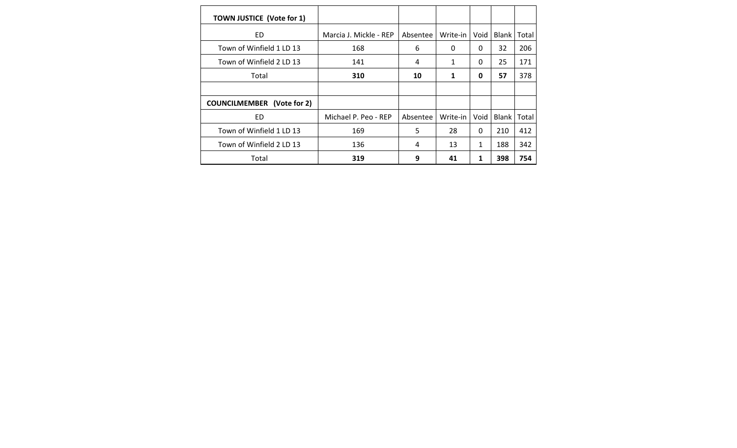| <b>TOWN JUSTICE (Vote for 1)</b>  |                        |          |          |      |              |       |
|-----------------------------------|------------------------|----------|----------|------|--------------|-------|
| ED.                               | Marcia J. Mickle - REP | Absentee | Write-in | Void | <b>Blank</b> | Total |
| Town of Winfield 1 LD 13          | 168                    | 6        | 0        | 0    | 32           | 206   |
| Town of Winfield 2 LD 13          | 141                    | 4        | 1        | 0    | 25           | 171   |
| Total                             | 310                    | 10       | 1        | 0    | 57           | 378   |
|                                   |                        |          |          |      |              |       |
| <b>COUNCILMEMBER</b> (Vote for 2) |                        |          |          |      |              |       |
| ED                                | Michael P. Peo - REP   | Absentee | Write-in | Void | <b>Blank</b> | Total |
| Town of Winfield 1 LD 13          | 169                    | 5        | 28       | 0    | 210          | 412   |
| Town of Winfield 2 LD 13          | 136                    | 4        | 13       | 1    | 188          | 342   |
| Total                             | 319                    | 9        | 41       | 1    | 398          | 754   |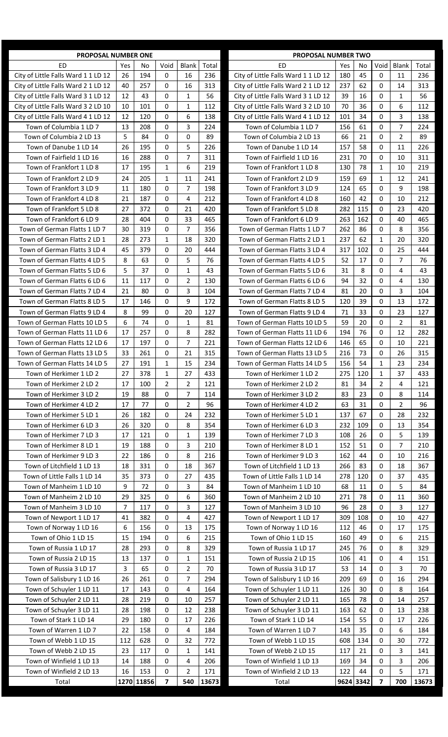| <b>PROPOSAL NUMBER ONE</b>          |                |            |                |                |       | <b>PROPOSAL NUMBER TWO</b>          |     |           |                |                |       |
|-------------------------------------|----------------|------------|----------------|----------------|-------|-------------------------------------|-----|-----------|----------------|----------------|-------|
| ED                                  | Yes            | No         | Void           | <b>Blank</b>   | Total | ED                                  | Yes | No.       | Void           | Blank          | Total |
| City of Little Falls Ward 1 1 LD 12 | 26             | 194        | $\mathbf{0}$   | 16             | 236   | City of Little Falls Ward 1 1 LD 12 | 180 | 45        | $\Omega$       | 11             | 236   |
| City of Little Falls Ward 2 1 LD 12 | 40             | 257        | 0              | 16             | 313   | City of Little Falls Ward 2 1 LD 12 | 237 | 62        | $\mathbf 0$    | 14             | 313   |
| City of Little Falls Ward 3 1 LD 12 | 12             | 43         | $\Omega$       | 1              | 56    | City of Little Falls Ward 3 1 LD 12 | 39  | 16        | 0              | $\mathbf{1}$   | 56    |
| City of Little Falls Ward 3 2 LD 10 | 10             | 101        | 0              | 1              | 112   | City of Little Falls Ward 3 2 LD 10 | 70  | 36        | 0              | 6              | 112   |
| City of Little Falls Ward 4 1 LD 12 | 12             | 120        | $\Omega$       | 6              | 138   | City of Little Falls Ward 4 1 LD 12 | 101 | 34        | $\Omega$       | 3              | 138   |
| Town of Columbia 1 LD 7             | 13             | 208        | $\Omega$       | 3              | 224   | Town of Columbia 1 LD 7             | 156 | 61        | $\Omega$       | $\overline{7}$ | 224   |
| Town of Columbia 2 LD 13            | 5              | 84         | 0              | 0              | 89    | Town of Columbia 2 LD 13            | 66  | 21        | $\mathbf 0$    | $\overline{2}$ | 89    |
| Town of Danube 1 LD 14              | 26             | 195        | $\Omega$       | 5              | 226   | Town of Danube 1 LD 14              | 157 | 58        | $\Omega$       | 11             | 226   |
| Town of Fairfield 1 LD 16           | 16             | 288        | $\Omega$       | 7              | 311   | Town of Fairfield 1 LD 16           | 231 | 70        | $\Omega$       | 10             | 311   |
| Town of Frankfort 1 LD 8            | 17             | 195        | $\mathbf{1}$   | 6              | 219   | Town of Frankfort 1 LD 8            | 130 | 78        | $\mathbf{1}$   | 10             | 219   |
| Town of Frankfort 2 LD 9            | 24             | 205        | $\mathbf{1}$   | 11             | 241   | Town of Frankfort 2 LD 9            | 159 | 69        | $\mathbf{1}$   | 12             | 241   |
| Town of Frankfort 3 LD 9            | 11             | 180        | $\Omega$       | 7              | 198   | Town of Frankfort 3 LD 9            | 124 | 65        | $\Omega$       | 9              | 198   |
| Town of Frankfort 4 LD 8            | 21             | 187        | 0              | 4              | 212   | Town of Frankfort 4 LD 8            | 160 | 42        | $\mathbf 0$    | 10             | 212   |
| Town of Frankfort 5 LD 8            | 27             | 372        | 0              | 21             | 420   | Town of Frankfort 5 LD 8            | 282 | 115       | $\Omega$       | 23             | 420   |
| Town of Frankfort 6 LD 9            | 28             | 404        | $\Omega$       | 33             | 465   | Town of Frankfort 6 LD 9            | 263 | 162       | $\Omega$       | 40             | 465   |
| Town of German Flatts 1 LD 7        | 30             | 319        | 0              | 7              | 356   | Town of German Flatts 1 LD 7        | 262 | 86        | $\mathbf 0$    | 8              | 356   |
| Town of German Flatts 2 LD 1        | 28             | 273        | $\mathbf{1}$   | 18             | 320   | Town of German Flatts 2 LD 1        | 237 | 62        | $\mathbf{1}$   | 20             | 320   |
| Town of German Flatts 3 LD 4        | 45             | 379        | $\Omega$       | 20             | 444   | Town of German Flatts 3 LD 4        | 317 | 102       | $\Omega$       | 25             | 444   |
| Town of German Flatts 4 LD 5        | 8              | 63         | $\mathbf 0$    | 5              | 76    | Town of German Flatts 4 LD 5        | 52  | 17        | $\mathbf 0$    | $\overline{7}$ | 76    |
| Town of German Flatts 5 LD 6        | 5              | 37         | 0              | 1              | 43    | Town of German Flatts 5 LD 6        | 31  | 8         | $\Omega$       | 4              | 43    |
| Town of German Flatts 6 LD 6        | 11             | 117        | 0              | 2              | 130   | Town of German Flatts 6 LD 6        | 94  | 32        | $\Omega$       | 4              | 130   |
| Town of German Flatts 7 LD 4        | 21             | 80         | $\mathbf 0$    | 3              | 104   | Town of German Flatts 7 LD 4        | 81  | 20        | $\mathbf 0$    | $\overline{3}$ | 104   |
| Town of German Flatts 8 LD 5        | 17             | 146        | $\Omega$       | 9              | 172   | Town of German Flatts 8 LD 5        | 120 | 39        | $\Omega$       | 13             | 172   |
| Town of German Flatts 9 LD 4        | 8              | 99         | 0              | 20             | 127   | Town of German Flatts 9 LD 4        | 71  | 33        | $\Omega$       | 23             | 127   |
| Town of German Flatts 10 LD 5       | 6              | 74         | 0              | $\mathbf{1}$   | 81    | Town of German Flatts 10 LD 5       | 59  | 20        | $\mathbf 0$    | $\overline{2}$ | 81    |
| Town of German Flatts 11 LD 6       | 17             | 257        | 0              | 8              | 282   | Town of German Flatts 11 LD 6       | 194 | 76        | $\Omega$       | 12             | 282   |
| Town of German Flatts 12 LD 6       | 17             | 197        | 0              | 7              | 221   | Town of German Flatts 12 LD 6       | 146 | 65        | $\mathbf 0$    | 10             | 221   |
| Town of German Flatts 13 LD 5       | 33             | 261        | 0              | 21             | 315   | Town of German Flatts 13 LD 5       | 216 | 73        | $\mathbf 0$    | 26             | 315   |
| Town of German Flatts 14 LD 5       | 27             | 191        | 1              | 15             | 234   | Town of German Flatts 14 LD 5       | 156 | 54        | $\mathbf{1}$   | 23             | 234   |
| Town of Herkimer 1 LD 2             | 27             | 378        | 1              | 27             | 433   | Town of Herkimer 1 LD 2             | 275 | 120       | 1              | 37             | 433   |
| Town of Herkimer 2 LD 2             | 17             | 100        | $\overline{2}$ | $\overline{2}$ | 121   | Town of Herkimer 2 LD 2             | 81  | 34        | $\overline{2}$ | 4              | 121   |
| Town of Herkimer 3 LD 2             | 19             | 88         | $\mathbf 0$    | 7              | 114   | Town of Herkimer 3 LD 2             | 83  | 23        | 0              | 8              | 114   |
| Town of Herkimer 4 LD 2             | 17             | 77         | 0              | $\overline{2}$ | 96    | Town of Herkimer 4 LD 2             | 63  | 31        | 0              | $\overline{2}$ | 96    |
| Town of Herkimer 5 LD 1             | 26             | 182        | 0              | 24             | 232   | Town of Herkimer 5 LD 1             | 137 | 67        | 0              | 28             | 232   |
| Town of Herkimer 6 LD 3             | 26             | 320        | 0              | 8              | 354   | Town of Herkimer 6 LD 3             | 232 | 109       | 0              | 13             | 354   |
| Town of Herkimer 7 LD 3             | 17             | 121        | 0              | $\mathbf{1}$   | 139   | Town of Herkimer 7 LD 3             | 108 | 26        | 0              | 5              | 139   |
| Town of Herkimer 8 LD 1             | 19             | 188        | 0              | 3              | 210   | Town of Herkimer 8 LD 1             | 152 | 51        | 0              | $\overline{7}$ | 210   |
| Town of Herkimer 9 LD 3             | 22             | 186        | 0              | 8              | 216   | Town of Herkimer 9 LD 3             | 162 | 44        | 0              | 10             | 216   |
| Town of Litchfield 1 LD 13          | 18             | 331        | 0              | 18             | 367   | Town of Litchfield 1 LD 13          | 266 | 83        | $\mathbf 0$    | 18             | 367   |
| Town of Little Falls 1 LD 14        | 35             | 373        | 0              | 27             | 435   | Town of Little Falls 1 LD 14        | 278 | 120       | $\mathbf 0$    | 37             | 435   |
| Town of Manheim 1 LD 10             | 9              | 72         | 0              | 3              | 84    | Town of Manheim 1 LD 10             | 68  | 11        | $\mathbf 0$    | 5              | 84    |
| Town of Manheim 2 LD 10             | 29             | 325        | 0              | 6              | 360   | Town of Manheim 2 LD 10             | 271 | 78        | $\mathbf 0$    | 11             | 360   |
| Town of Manheim 3 LD 10             | $\overline{7}$ | 117        | 0              | 3              | 127   | Town of Manheim 3 LD 10             | 96  | 28        | $\mathbf 0$    | $\overline{3}$ | 127   |
| Town of Newport 1 LD 17             | 41             | 382        | 0              | 4              | 427   | Town of Newport 1 LD 17             | 309 | 108       | 0              | 10             | 427   |
| Town of Norway 1 LD 16              | 6              | 156        | 0              | 13             | 175   | Town of Norway 1 LD 16              | 112 | 46        | 0              | 17             | 175   |
| Town of Ohio 1 LD 15                | 15             | 194        | 0              | 6              | 215   | Town of Ohio 1 LD 15                | 160 | 49        | $\mathbf 0$    | 6              | 215   |
| Town of Russia 1 LD 17              | 28             | 293        | 0              | 8              | 329   | Town of Russia 1 LD 17              | 245 | 76        | $\mathbf 0$    | 8              | 329   |
| Town of Russia 2 LD 15              | 13             | 137        | 0              | 1              | 151   | Town of Russia 2 LD 15              | 106 | 41        | $\mathbf 0$    | 4              | 151   |
| Town of Russia 3 LD 17              | 3              | 65         | 0              | $\overline{2}$ | 70    | Town of Russia 3 LD 17              | 53  | 14        | $\mathbf 0$    | 3              | 70    |
| Town of Salisbury 1 LD 16           | 26             | 261        | 0              | 7              | 294   | Town of Salisbury 1 LD 16           | 209 | 69        | $\Omega$       | 16             | 294   |
| Town of Schuyler 1 LD 11            | 17             | 143        | 0              | 4              | 164   | Town of Schuyler 1 LD 11            | 126 | 30        | $\mathbf 0$    | 8              | 164   |
| Town of Schuyler 2 LD 11            | 28             | 219        | 0              | 10             | 257   | Town of Schuyler 2 LD 11            | 165 | 78        | $\mathbf 0$    | 14             | 257   |
| Town of Schuyler 3 LD 11            | 28             | 198        | 0              | 12             | 238   | Town of Schuyler 3 LD 11            | 163 | 62        | $\mathbf 0$    | 13             | 238   |
| Town of Stark 1 LD 14               | 29             | 180        | 0              | 17             | 226   | Town of Stark 1 LD 14               | 154 | 55        | 0              | 17             | 226   |
| Town of Warren 1 LD 7               | 22             | 158        | 0              | 4              | 184   | Town of Warren 1 LD 7               | 143 | 35        | 0              | 6              | 184   |
| Town of Webb 1 LD 15                | 112            | 628        | 0              | 32             | 772   | Town of Webb 1 LD 15                | 608 | 134       | $\Omega$       | 30             | 772   |
| Town of Webb 2 LD 15                | 23             | 117        | 0              | $\mathbf{1}$   | 141   | Town of Webb 2 LD 15                | 117 | 21        | 0              | $\overline{3}$ | 141   |
| Town of Winfield 1 LD 13            | 14             | 188        | 0              | 4              | 206   | Town of Winfield 1 LD 13            | 169 | 34        | $\mathbf 0$    | 3              | 206   |
| Town of Winfield 2 LD 13            | 16             | 153        | 0              | $\overline{2}$ | 171   | Town of Winfield 2 LD 13            | 122 | 44        | $\mathbf 0$    | 5              | 171   |
| Total                               |                | 1270 11856 | $\overline{7}$ | 540            | 13673 | Total                               |     | 9624 3342 | $\overline{7}$ | 700            | 13673 |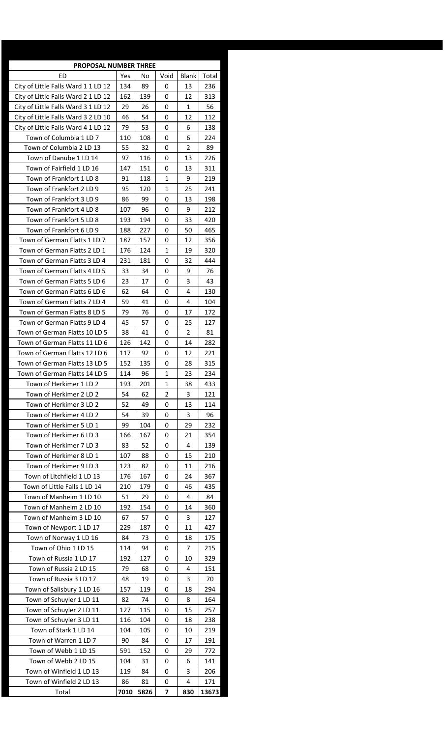| PROPOSAL NUMBER THREE               |      |      |              |              |       |
|-------------------------------------|------|------|--------------|--------------|-------|
| ED                                  | Yes  | No   | Void         | <b>Blank</b> | Total |
| City of Little Falls Ward 1 1 LD 12 | 134  | 89   | 0            | 13           | 236   |
| City of Little Falls Ward 2 1 LD 12 | 162  | 139  | 0            | 12           | 313   |
| City of Little Falls Ward 3 1 LD 12 | 29   | 26   | 0            | 1            | 56    |
| City of Little Falls Ward 3 2 LD 10 | 46   | 54   | 0            | 12           | 112   |
| City of Little Falls Ward 4 1 LD 12 | 79   | 53   | 0            | 6            | 138   |
| Town of Columbia 1 LD 7             | 110  | 108  | 0            | 6            | 224   |
| Town of Columbia 2 LD 13            | 55   | 32   | 0            | 2            | 89    |
| Town of Danube 1 LD 14              | 97   | 116  | 0            | 13           | 226   |
| Town of Fairfield 1 LD 16           | 147  | 151  | 0            | 13           | 311   |
| Town of Frankfort 1 LD 8            | 91   | 118  | 1            | 9            | 219   |
| Town of Frankfort 2 LD 9            | 95   | 120  | 1            | 25           | 241   |
| Town of Frankfort 3 LD 9            | 86   | 99   | 0            | 13           | 198   |
| Town of Frankfort 4 LD 8            | 107  | 96   | 0            | 9            | 212   |
| Town of Frankfort 5 LD 8            | 193  | 194  | 0            | 33           | 420   |
| Town of Frankfort 6 LD 9            | 188  | 227  | 0            | 50           | 465   |
| Town of German Flatts 1 LD 7        | 187  | 157  | 0            | 12           | 356   |
| Town of German Flatts 2 LD 1        | 176  | 124  | 1            | 19           | 320   |
| Town of German Flatts 3 LD 4        | 231  | 181  | 0            | 32           | 444   |
| Town of German Flatts 4 LD 5        | 33   | 34   | 0            | 9            | 76    |
| Town of German Flatts 5 LD 6        | 23   | 17   | 0            | 3            | 43    |
| Town of German Flatts 6 LD 6        | 62   | 64   | 0            | 4            | 130   |
| Town of German Flatts 7 LD 4        | 59   | 41   | 0            | 4            | 104   |
| Town of German Flatts 8 LD 5        | 79   | 76   | 0            | 17           | 172   |
| Town of German Flatts 9 LD 4        | 45   | 57   | 0            | 25           | 127   |
| Town of German Flatts 10 LD 5       | 38   | 41   | 0            | 2            | 81    |
| Town of German Flatts 11 LD 6       | 126  | 142  | 0            | 14           | 282   |
| Town of German Flatts 12 LD 6       | 117  | 92   | 0            | 12           | 221   |
| Town of German Flatts 13 LD 5       | 152  | 135  | 0            | 28           | 315   |
| Town of German Flatts 14 LD 5       | 114  | 96   | 1            | 23           | 234   |
| Town of Herkimer 1 LD 2             | 193  | 201  | $\mathbf{1}$ | 38           | 433   |
| Town of Herkimer 2 LD 2             | 54   | 62   | 2            | 3            | 121   |
| Town of Herkimer 3 LD 2             | 52   | 49   | 0            | 13           | 114   |
| Town of Herkimer 4 LD 2             | 54   | 39   | 0            | 3            | 96    |
| Town of Herkimer 5 LD 1             | 99   | 104  | 0            | 29           | 232   |
| Town of Herkimer 6 LD 3             | 166  | 167  | 0            | 21           | 354   |
| Town of Herkimer 7 LD 3             | 83   | 52   | 0            | 4            | 139   |
| Town of Herkimer 8 LD 1             | 107  | 88   | 0            | 15           | 210   |
| Town of Herkimer 9 LD 3             | 123  | 82   | 0            | 11           | 216   |
| Town of Litchfield 1 LD 13          | 176  | 167  | 0            | 24           | 367   |
| Town of Little Falls 1 LD 14        | 210  | 179  | 0            | 46           | 435   |
| Town of Manheim 1 LD 10             | 51   | 29   | 0            | 4            | 84    |
| Town of Manheim 2 LD 10             | 192  | 154  | 0            | 14           | 360   |
| Town of Manheim 3 LD 10             | 67   | 57   | 0            | 3            | 127   |
| Town of Newport 1 LD 17             | 229  | 187  | 0            | 11           | 427   |
| Town of Norway 1 LD 16              | 84   | 73   | 0            | 18           | 175   |
| Town of Ohio 1 LD 15                | 114  | 94   | 0            | 7            | 215   |
| Town of Russia 1 LD 17              | 192  | 127  | 0            | 10           | 329   |
| Town of Russia 2 LD 15              | 79   | 68   | 0            | 4            | 151   |
| Town of Russia 3 LD 17              | 48   | 19   | 0            | 3            | 70    |
| Town of Salisbury 1 LD 16           | 157  | 119  | 0            | 18           | 294   |
| Town of Schuyler 1 LD 11            | 82   | 74   | 0            | 8            | 164   |
| Town of Schuyler 2 LD 11            | 127  | 115  | 0            | 15           | 257   |
| Town of Schuyler 3 LD 11            | 116  | 104  | 0            | 18           | 238   |
| Town of Stark 1 LD 14               | 104  | 105  | 0            | 10           | 219   |
| Town of Warren 1 LD 7               | 90   | 84   | 0            | 17           | 191   |
| Town of Webb 1 LD 15                | 591  | 152  | 0            | 29           | 772   |
| Town of Webb 2 LD 15                | 104  | 31   | 0            | 6            | 141   |
| Town of Winfield 1 LD 13            | 119  | 84   | 0            | 3            | 206   |
| Town of Winfield 2 LD 13            | 86   | 81   | 0            | 4            | 171   |
| Total                               | 7010 | 5826 | 7            | 830          |       |
|                                     |      |      |              |              | 13673 |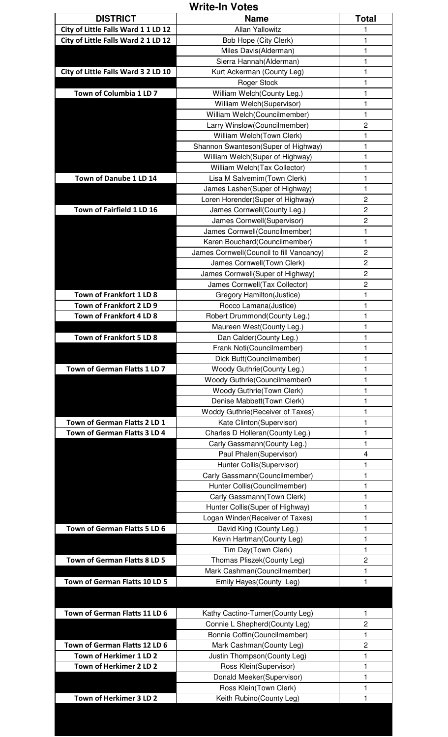## DISTRICT | Name | Total **City of Little Falls Ward 1 1 LD 12** | Allan Yallowitz | 1 **City of Little Falls Ward 2 1 LD 12** Bob Hope (City Clerk) 1 Miles Davis(Alderman) 1 Sierra Hannah (Alderman) 1 **City of Little Falls Ward 3 2 LD 10** Kurt Ackerman (County Leg) 1 Roger Stock 1 **Town of Columbia 1 LD 7** Villiam Welch(County Leg.) 1 William Welch(Supervisor) | 1 William Welch(Councilmember) | 1 Larry Winslow(Councilmember) 2 William Welch(Town Clerk) 1 Shannon Swanteson(Super of Highway) | 1 William Welch(Super of Highway) 1 William Welch(Tax Collector) 1 **Town of Danube 1 LD 14** Lisa M Salvemim(Town Clerk) 1 James Lasher(Super of Highway) 1 Loren Horender(Super of Highway) 2 **Town of Fairfield 1 LD 16 James Cornwell** (County Leg.) 2 James Cornwell(Supervisor) 2 James Cornwell(Councilmember) 1 Karen Bouchard(Councilmember) | 1 James Cornwell(Council to fill Vancancy) 2 James Cornwell(Town Clerk) 2 James Cornwell(Super of Highway) 2 James Cornwell(Tax Collector) 2 Town of Frankfort 1 LD 8 Gregory Hamilton(Justice) 1 **Town of Frankfort 2 LD 9** Rocco Lamana(Justice) 1 **Town of Frankfort 4 LD 8 Robert Drummond(County Leg.)** 1 Maureen West(County Leg.) 1 **Town of Frankfort 5 LD 8** Dan Calder(County Leg.) 1 Frank Noti(Councilmember) 1 Dick Butt(Councilmember) 1 **Town of German Flatts 1 LD 7** Woody Guthrie(County Leg.) 1 Woody Guthrie(Councilmember0 1 Woody Guthrie(Town Clerk) 1 Denise Mabbett(Town Clerk) 1 Woddy Guthrie(Receiver of Taxes) | 1 **Town of German Flatts 2 LD 1** Kate Clinton(Supervisor) | 1 **Town of German Flatts 3 LD 4** Charles D Holleran(County Leg.) | 1 Carly Gassmann(County Leg.) 1 Paul Phalen(Supervisor) | 4 Hunter Collis(Supervisor) 1 Carly Gassmann(Councilmember) | 1 Hunter Collis(Councilmember) 1 Carly Gassmann(Town Clerk) 1 Hunter Collis (Super of Highway) 1 Logan Winder(Receiver of Taxes) | 1 **Town of German Flatts 5 LD 6 David King (County Leg.)** 1 Kevin Hartman(County Leg) | 1 Tim Day(Town Clerk) 1 **Town of German Flatts 8 LD 5** Thomas Pliszek(County Leg) 2 Mark Cashman(Councilmember) | 1 **Town of German Flatts 10 LD 5** Emily Hayes(County Leg) 1 **Town of German Flatts 11 LD 6** Kathy Cactino-Turner (County Leg) 1 Connie L Shepherd(County Leg) 2 Bonnie Coffin(Councilmember) 1 **Town of German Flatts 12 LD 6** Mark Cashman(County Leg) 2 **Town of Herkimer 1 LD 2 Justin Thompson(County Leg)** 1 **Town of Herkimer 2 LD 2** Ross Klein(Supervisor) 1 Donald Meeker(Supervisor) | 1 Ross Klein(Town Clerk) 1 **Town of Herkimer 3 LD 2** Keith Rubino(County Leg)

## **Write-In Votes**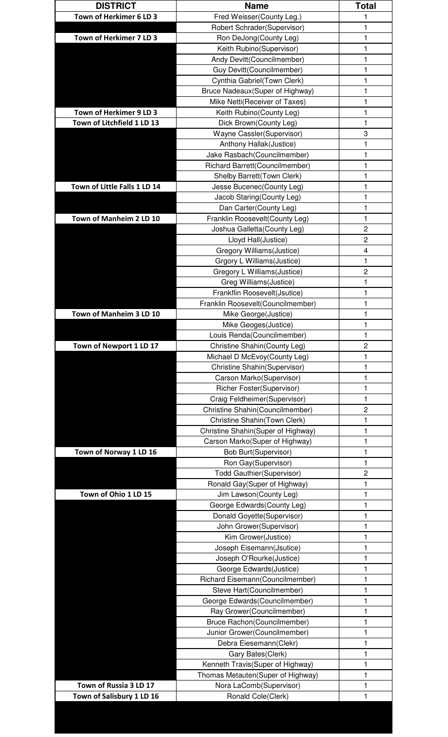| Town of Herkimer 6 LD 3<br>Town of Herkimer 7 LD 3<br>Town of Herkimer 9 LD 3<br>Town of Litchfield 1 LD 13 | Fred Weisser(County Leg.)<br>Robert Schrader(Supervisor)<br>Ron DeJong(County Leg)<br>Keith Rubino(Supervisor)<br>Andy Devitt(Councilmember)<br><b>Guy Devitt(Councilmember)</b><br>Cynthia Gabriel(Town Clerk)<br>Bruce Nadeaux (Super of Highway)<br>Mike Netti(Receiver of Taxes)<br>Keith Rubino(County Leg)<br>Dick Brown(County Leg)<br>Wayne Cassler(Supervisor) | 1<br>1<br>1<br>1<br>1<br>1<br>1<br>1<br>1 |
|-------------------------------------------------------------------------------------------------------------|-------------------------------------------------------------------------------------------------------------------------------------------------------------------------------------------------------------------------------------------------------------------------------------------------------------------------------------------------------------------------|-------------------------------------------|
|                                                                                                             |                                                                                                                                                                                                                                                                                                                                                                         |                                           |
|                                                                                                             |                                                                                                                                                                                                                                                                                                                                                                         |                                           |
|                                                                                                             |                                                                                                                                                                                                                                                                                                                                                                         |                                           |
|                                                                                                             |                                                                                                                                                                                                                                                                                                                                                                         |                                           |
|                                                                                                             |                                                                                                                                                                                                                                                                                                                                                                         |                                           |
|                                                                                                             |                                                                                                                                                                                                                                                                                                                                                                         |                                           |
|                                                                                                             |                                                                                                                                                                                                                                                                                                                                                                         |                                           |
|                                                                                                             |                                                                                                                                                                                                                                                                                                                                                                         |                                           |
|                                                                                                             |                                                                                                                                                                                                                                                                                                                                                                         |                                           |
|                                                                                                             |                                                                                                                                                                                                                                                                                                                                                                         | 1                                         |
|                                                                                                             |                                                                                                                                                                                                                                                                                                                                                                         | 1<br>3                                    |
|                                                                                                             | Anthony Hallak(Justice)                                                                                                                                                                                                                                                                                                                                                 | 1                                         |
|                                                                                                             | Jake Rasbach(Councilmember)                                                                                                                                                                                                                                                                                                                                             | 1                                         |
|                                                                                                             | Richard Barrett(Councilmember)                                                                                                                                                                                                                                                                                                                                          | 1                                         |
|                                                                                                             | Shelby Barrett(Town Clerk)                                                                                                                                                                                                                                                                                                                                              | 1                                         |
| Town of Little Falls 1 LD 14                                                                                | Jesse Bucenec(County Leg)                                                                                                                                                                                                                                                                                                                                               | 1                                         |
|                                                                                                             | Jacob Staring(County Leg)                                                                                                                                                                                                                                                                                                                                               | 1                                         |
|                                                                                                             | Dan Carter(County Leg)                                                                                                                                                                                                                                                                                                                                                  | 1                                         |
| Town of Manheim 2 LD 10                                                                                     | Franklin Roosevelt(County Leg)                                                                                                                                                                                                                                                                                                                                          | 1                                         |
|                                                                                                             | Joshua Galletta (County Leg)                                                                                                                                                                                                                                                                                                                                            | $\overline{\mathbf{c}}$                   |
|                                                                                                             | Lloyd Hall(Justice)                                                                                                                                                                                                                                                                                                                                                     | $\overline{c}$                            |
|                                                                                                             | Gregory Williams(Justice)                                                                                                                                                                                                                                                                                                                                               | 4                                         |
|                                                                                                             | Grgory L Williams(Justice)                                                                                                                                                                                                                                                                                                                                              | 1                                         |
|                                                                                                             | Gregory L Williams(Justice)                                                                                                                                                                                                                                                                                                                                             | $\overline{c}$                            |
|                                                                                                             | Greg Williams(Justice)                                                                                                                                                                                                                                                                                                                                                  | 1                                         |
|                                                                                                             | Frankflin Roosevelt(Jsutice)                                                                                                                                                                                                                                                                                                                                            | 1                                         |
| Town of Manheim 3 LD 10                                                                                     | Franklin Roosevelt(Councilmember)<br>Mike George(Justice)                                                                                                                                                                                                                                                                                                               | 1<br>1                                    |
|                                                                                                             | Mike Geoges(Justice)                                                                                                                                                                                                                                                                                                                                                    | 1                                         |
|                                                                                                             | Louis Renda(Councilmember)                                                                                                                                                                                                                                                                                                                                              | 1                                         |
| Town of Newport 1 LD 17                                                                                     | Christine Shahin(County Leg)                                                                                                                                                                                                                                                                                                                                            | $\overline{c}$                            |
|                                                                                                             | Michael D McEvoy(County Leg)                                                                                                                                                                                                                                                                                                                                            | 1                                         |
|                                                                                                             | Christine Shahin(Supervisor)                                                                                                                                                                                                                                                                                                                                            | 1                                         |
|                                                                                                             | Carson Marko(Supervisor)                                                                                                                                                                                                                                                                                                                                                | 1                                         |
|                                                                                                             | Richer Foster(Supervisor)                                                                                                                                                                                                                                                                                                                                               | 1                                         |
|                                                                                                             | Craig Feldheimer(Supervisor)                                                                                                                                                                                                                                                                                                                                            | 1                                         |
|                                                                                                             | Christine Shahin(Councilmember)                                                                                                                                                                                                                                                                                                                                         | $\overline{c}$                            |
|                                                                                                             | Christine Shahin(Town Clerk)<br>Christine Shahin(Super of Highway)                                                                                                                                                                                                                                                                                                      | 1<br>1                                    |
|                                                                                                             | Carson Marko(Super of Highway)                                                                                                                                                                                                                                                                                                                                          | 1                                         |
| Town of Norway 1 LD 16                                                                                      | <b>Bob Burt(Supervisor)</b>                                                                                                                                                                                                                                                                                                                                             | 1                                         |
|                                                                                                             | Ron Gay(Supervisor)                                                                                                                                                                                                                                                                                                                                                     | 1                                         |
|                                                                                                             | <b>Todd Gauthier(Supervisor)</b>                                                                                                                                                                                                                                                                                                                                        | $\overline{c}$                            |
|                                                                                                             | Ronald Gay(Super of Highway)                                                                                                                                                                                                                                                                                                                                            | 1                                         |
| Town of Ohio 1 LD 15                                                                                        | Jim Lawson(County Leg)                                                                                                                                                                                                                                                                                                                                                  | 1                                         |
|                                                                                                             | George Edwards(County Leg)                                                                                                                                                                                                                                                                                                                                              | 1                                         |
|                                                                                                             | Donald Goyette(Supervisor)                                                                                                                                                                                                                                                                                                                                              | 1                                         |
|                                                                                                             | John Grower(Supervisor)                                                                                                                                                                                                                                                                                                                                                 | 1                                         |
|                                                                                                             | Kim Grower(Justice)                                                                                                                                                                                                                                                                                                                                                     | 1                                         |
|                                                                                                             | Joseph Eisemann(Jsutice)                                                                                                                                                                                                                                                                                                                                                | 1                                         |
|                                                                                                             | Joseph O'Rourke(Justice)<br>George Edwards(Justice)                                                                                                                                                                                                                                                                                                                     | 1<br>1                                    |
|                                                                                                             | Richard Eisemann(Councilmember)                                                                                                                                                                                                                                                                                                                                         | 1                                         |
|                                                                                                             | Steve Hart(Councilmember)                                                                                                                                                                                                                                                                                                                                               | 1                                         |
|                                                                                                             | George Edwards(Councilmember)                                                                                                                                                                                                                                                                                                                                           | 1                                         |
|                                                                                                             | Ray Grower(Councilmember)                                                                                                                                                                                                                                                                                                                                               | 1                                         |
|                                                                                                             | Bruce Rachon(Councilmember)                                                                                                                                                                                                                                                                                                                                             | 1                                         |
|                                                                                                             | Junior Grower(Councilmember)                                                                                                                                                                                                                                                                                                                                            | 1                                         |
|                                                                                                             | Debra Eiesemann(Clekr)                                                                                                                                                                                                                                                                                                                                                  | 1                                         |
|                                                                                                             | Gary Bates(Clerk)                                                                                                                                                                                                                                                                                                                                                       | 1                                         |
|                                                                                                             | Kenneth Travis(Super of Highway)                                                                                                                                                                                                                                                                                                                                        | 1                                         |
|                                                                                                             | Thomas Metauten(Super of Highway)                                                                                                                                                                                                                                                                                                                                       | 1                                         |
| Town of Russia 3 LD 17                                                                                      | Nora LaComb(Supervisor)                                                                                                                                                                                                                                                                                                                                                 | 1                                         |
| Town of Salisbury 1 LD 16                                                                                   | Ronald Cole(Clerk)                                                                                                                                                                                                                                                                                                                                                      | 1                                         |